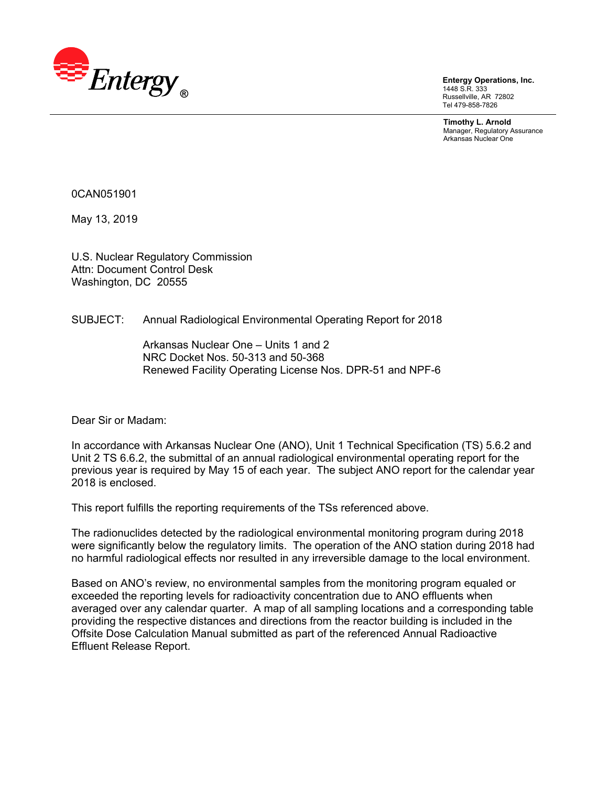

**Entergy Operations, Inc.**  1448 S.R. 333 Russellville, AR 72802 Tel 479-858-7826

**Timothy L. Arnold**  Manager, Regulatory Assurance Arkansas Nuclear One

0CAN051901

May 13, 2019

U.S. Nuclear Regulatory Commission Attn: Document Control Desk Washington, DC 20555

#### SUBJECT: Annual Radiological Environmental Operating Report for 2018

Arkansas Nuclear One – Units 1 and 2 NRC Docket Nos. 50-313 and 50-368 Renewed Facility Operating License Nos. DPR-51 and NPF-6

Dear Sir or Madam:

In accordance with Arkansas Nuclear One (ANO), Unit 1 Technical Specification (TS) 5.6.2 and Unit 2 TS 6.6.2, the submittal of an annual radiological environmental operating report for the previous year is required by May 15 of each year. The subject ANO report for the calendar year 2018 is enclosed.

This report fulfills the reporting requirements of the TSs referenced above.

The radionuclides detected by the radiological environmental monitoring program during 2018 were significantly below the regulatory limits. The operation of the ANO station during 2018 had no harmful radiological effects nor resulted in any irreversible damage to the local environment.

Based on ANO's review, no environmental samples from the monitoring program equaled or exceeded the reporting levels for radioactivity concentration due to ANO effluents when averaged over any calendar quarter. A map of all sampling locations and a corresponding table providing the respective distances and directions from the reactor building is included in the Offsite Dose Calculation Manual submitted as part of the referenced Annual Radioactive Effluent Release Report.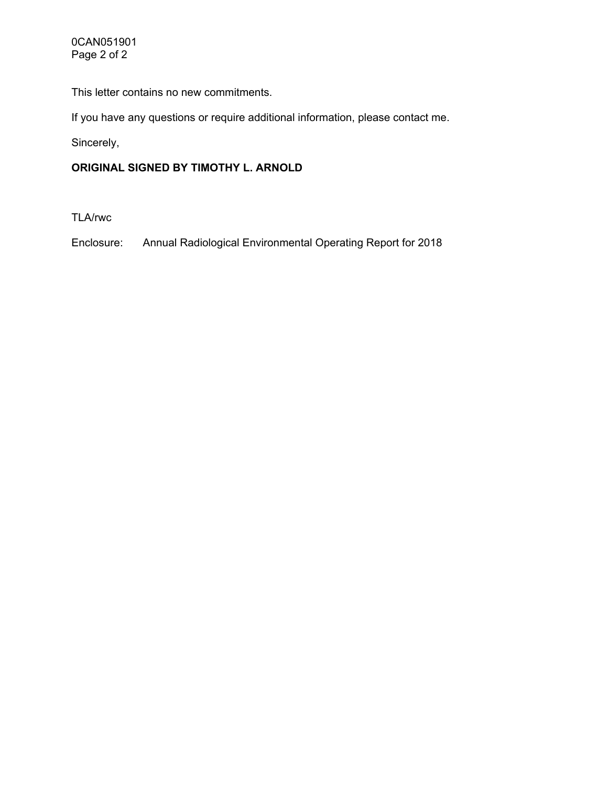This letter contains no new commitments.

If you have any questions or require additional information, please contact me.

Sincerely,

# **ORIGINAL SIGNED BY TIMOTHY L. ARNOLD**

TLA/rwc

Enclosure: Annual Radiological Environmental Operating Report for 2018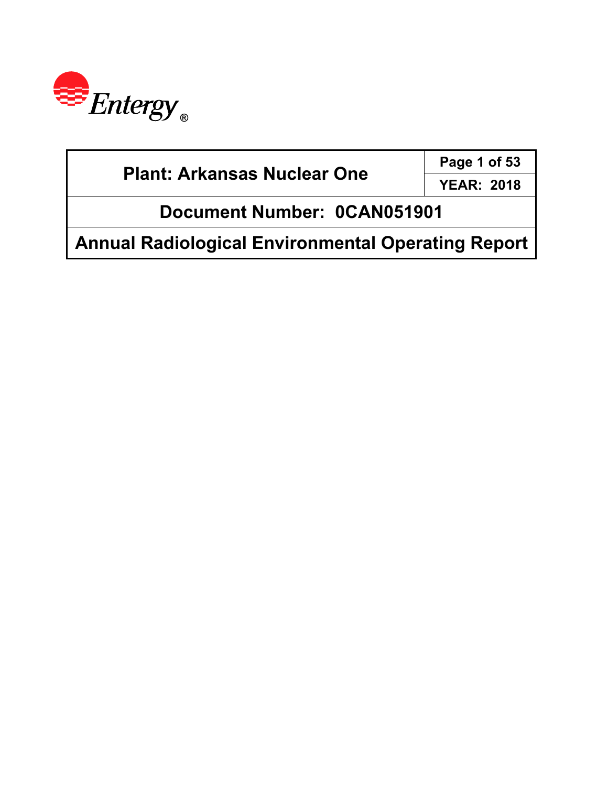

| <b>Plant: Arkansas Nuclear One</b>                        | Page 1 of 53      |  |
|-----------------------------------------------------------|-------------------|--|
|                                                           | <b>YEAR: 2018</b> |  |
| Document Number: 0CAN051901                               |                   |  |
| <b>Annual Radiological Environmental Operating Report</b> |                   |  |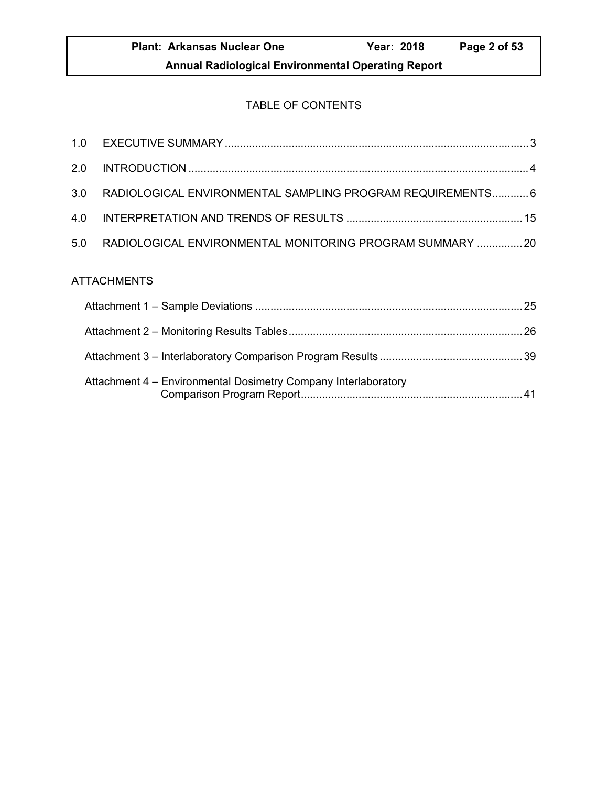| <b>Plant: Arkansas Nuclear One</b>                        | <b>Year: 2018</b> | Page 2 of 53 |  |
|-----------------------------------------------------------|-------------------|--------------|--|
| <b>Annual Radiological Environmental Operating Report</b> |                   |              |  |

# TABLE OF CONTENTS

| 2.0 |                                                                |  |
|-----|----------------------------------------------------------------|--|
| 3.0 | RADIOLOGICAL ENVIRONMENTAL SAMPLING PROGRAM REQUIREMENTS 6     |  |
| 4.0 |                                                                |  |
| 5.0 | RADIOLOGICAL ENVIRONMENTAL MONITORING PROGRAM SUMMARY  20      |  |
|     | <b>ATTACHMENTS</b>                                             |  |
|     |                                                                |  |
|     |                                                                |  |
|     |                                                                |  |
|     | Attachment 4 - Environmental Dosimetry Company Interlaboratory |  |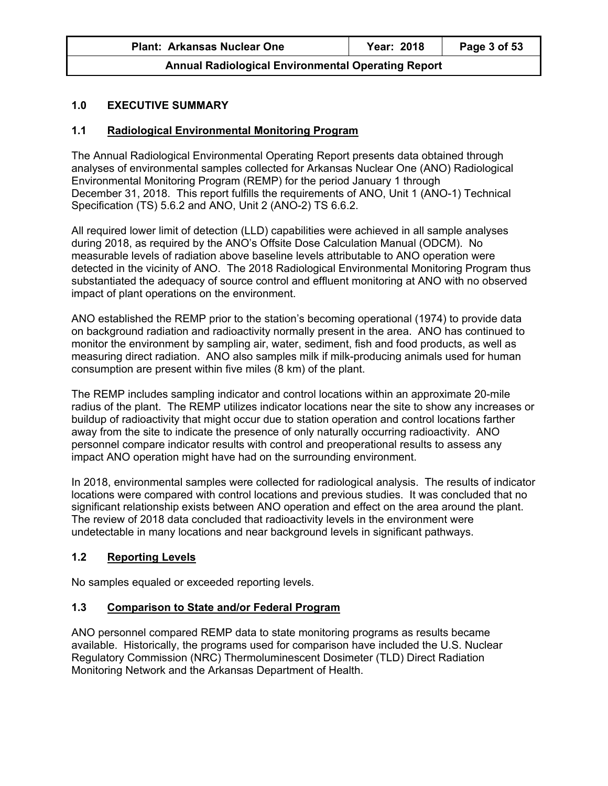|  | <b>Plant: Arkansas Nuclear One</b> |  |  |
|--|------------------------------------|--|--|
|--|------------------------------------|--|--|

## **1.0 EXECUTIVE SUMMARY**

## **1.1 Radiological Environmental Monitoring Program**

The Annual Radiological Environmental Operating Report presents data obtained through analyses of environmental samples collected for Arkansas Nuclear One (ANO) Radiological Environmental Monitoring Program (REMP) for the period January 1 through December 31, 2018. This report fulfills the requirements of ANO, Unit 1 (ANO-1) Technical Specification (TS) 5.6.2 and ANO, Unit 2 (ANO-2) TS 6.6.2.

All required lower limit of detection (LLD) capabilities were achieved in all sample analyses during 2018, as required by the ANO's Offsite Dose Calculation Manual (ODCM). No measurable levels of radiation above baseline levels attributable to ANO operation were detected in the vicinity of ANO. The 2018 Radiological Environmental Monitoring Program thus substantiated the adequacy of source control and effluent monitoring at ANO with no observed impact of plant operations on the environment.

ANO established the REMP prior to the station's becoming operational (1974) to provide data on background radiation and radioactivity normally present in the area. ANO has continued to monitor the environment by sampling air, water, sediment, fish and food products, as well as measuring direct radiation. ANO also samples milk if milk-producing animals used for human consumption are present within five miles (8 km) of the plant.

The REMP includes sampling indicator and control locations within an approximate 20-mile radius of the plant. The REMP utilizes indicator locations near the site to show any increases or buildup of radioactivity that might occur due to station operation and control locations farther away from the site to indicate the presence of only naturally occurring radioactivity. ANO personnel compare indicator results with control and preoperational results to assess any impact ANO operation might have had on the surrounding environment.

In 2018, environmental samples were collected for radiological analysis. The results of indicator locations were compared with control locations and previous studies. It was concluded that no significant relationship exists between ANO operation and effect on the area around the plant. The review of 2018 data concluded that radioactivity levels in the environment were undetectable in many locations and near background levels in significant pathways.

## **1.2 Reporting Levels**

No samples equaled or exceeded reporting levels.

## **1.3 Comparison to State and/or Federal Program**

ANO personnel compared REMP data to state monitoring programs as results became available. Historically, the programs used for comparison have included the U.S. Nuclear Regulatory Commission (NRC) Thermoluminescent Dosimeter (TLD) Direct Radiation Monitoring Network and the Arkansas Department of Health.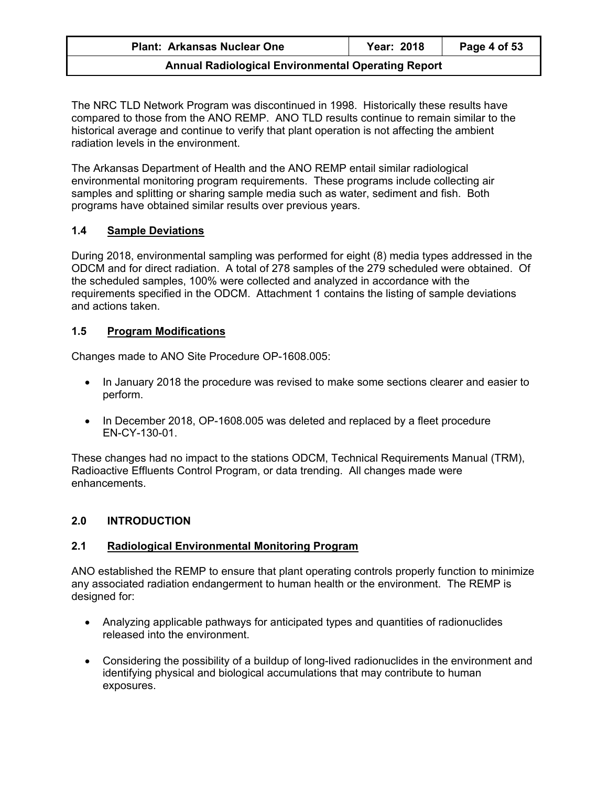| <b>Plant: Arkansas Nuclear One</b> | Year: 2018 | Page 4 of 53 |
|------------------------------------|------------|--------------|
|------------------------------------|------------|--------------|

The NRC TLD Network Program was discontinued in 1998. Historically these results have compared to those from the ANO REMP. ANO TLD results continue to remain similar to the historical average and continue to verify that plant operation is not affecting the ambient radiation levels in the environment.

The Arkansas Department of Health and the ANO REMP entail similar radiological environmental monitoring program requirements. These programs include collecting air samples and splitting or sharing sample media such as water, sediment and fish. Both programs have obtained similar results over previous years.

## **1.4 Sample Deviations**

During 2018, environmental sampling was performed for eight (8) media types addressed in the ODCM and for direct radiation. A total of 278 samples of the 279 scheduled were obtained. Of the scheduled samples, 100% were collected and analyzed in accordance with the requirements specified in the ODCM. Attachment 1 contains the listing of sample deviations and actions taken.

## **1.5 Program Modifications**

Changes made to ANO Site Procedure OP-1608.005:

- In January 2018 the procedure was revised to make some sections clearer and easier to perform.
- In December 2018, OP-1608.005 was deleted and replaced by a fleet procedure EN-CY-130-01.

These changes had no impact to the stations ODCM, Technical Requirements Manual (TRM), Radioactive Effluents Control Program, or data trending. All changes made were enhancements.

# **2.0 INTRODUCTION**

# **2.1 Radiological Environmental Monitoring Program**

ANO established the REMP to ensure that plant operating controls properly function to minimize any associated radiation endangerment to human health or the environment. The REMP is designed for:

- Analyzing applicable pathways for anticipated types and quantities of radionuclides released into the environment.
- Considering the possibility of a buildup of long-lived radionuclides in the environment and identifying physical and biological accumulations that may contribute to human exposures.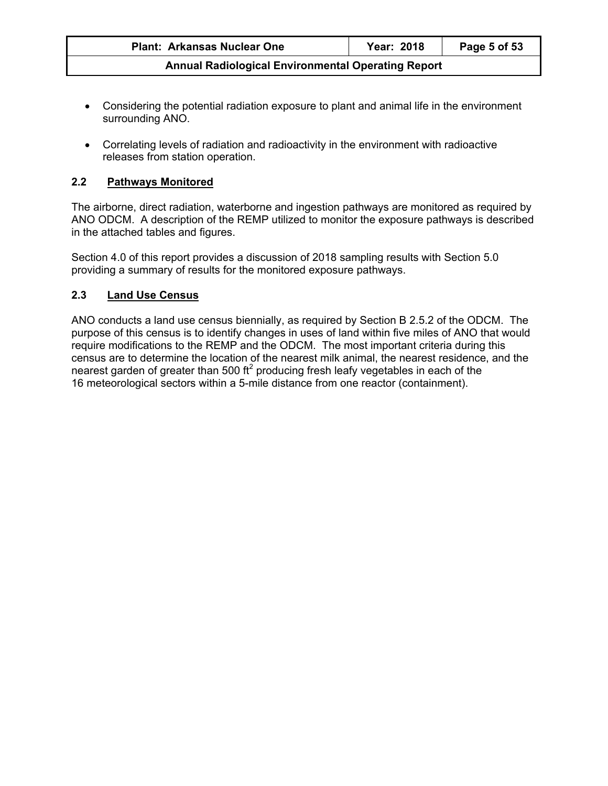| <b>Plant: Arkansas Nuclear One</b>                        | Year: 2018 | Page 5 of 53 |
|-----------------------------------------------------------|------------|--------------|
| <b>Annual Radiological Environmental Operating Report</b> |            |              |

- Considering the potential radiation exposure to plant and animal life in the environment surrounding ANO.
- Correlating levels of radiation and radioactivity in the environment with radioactive releases from station operation.

## **2.2 Pathways Monitored**

The airborne, direct radiation, waterborne and ingestion pathways are monitored as required by ANO ODCM. A description of the REMP utilized to monitor the exposure pathways is described in the attached tables and figures.

Section 4.0 of this report provides a discussion of 2018 sampling results with Section 5.0 providing a summary of results for the monitored exposure pathways.

## **2.3 Land Use Census**

ANO conducts a land use census biennially, as required by Section B 2.5.2 of the ODCM. The purpose of this census is to identify changes in uses of land within five miles of ANO that would require modifications to the REMP and the ODCM. The most important criteria during this census are to determine the location of the nearest milk animal, the nearest residence, and the nearest garden of greater than 500 ft<sup>2</sup> producing fresh leafy vegetables in each of the 16 meteorological sectors within a 5-mile distance from one reactor (containment).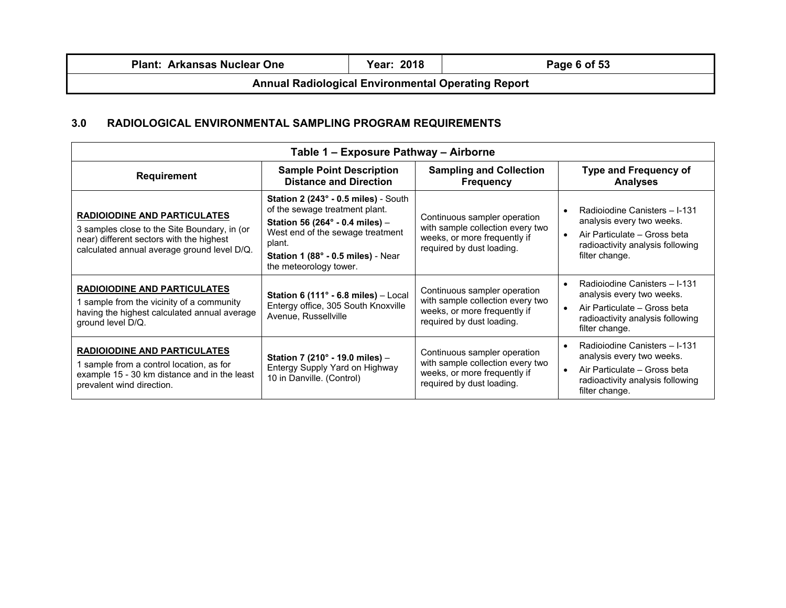| <b>Plant: Arkansas Nuclear One</b>                        | <b>Year: 2018</b> | Page 6 of 53 |
|-----------------------------------------------------------|-------------------|--------------|
| <b>Annual Radiological Environmental Operating Report</b> |                   |              |

## **3.0 RADIOLOGICAL ENVIRONMENTAL SAMPLING PROGRAM REQUIREMENTS**

| Table 1 – Exposure Pathway – Airborne                                                                                                                                          |                                                                                                                                                                                                                         |                                                                                                                               |                                                                                                                                                               |
|--------------------------------------------------------------------------------------------------------------------------------------------------------------------------------|-------------------------------------------------------------------------------------------------------------------------------------------------------------------------------------------------------------------------|-------------------------------------------------------------------------------------------------------------------------------|---------------------------------------------------------------------------------------------------------------------------------------------------------------|
| <b>Requirement</b>                                                                                                                                                             | <b>Sample Point Description</b><br><b>Distance and Direction</b>                                                                                                                                                        | <b>Sampling and Collection</b><br><b>Frequency</b>                                                                            | <b>Type and Frequency of</b><br><b>Analyses</b>                                                                                                               |
| <b>RADIOIODINE AND PARTICULATES</b><br>3 samples close to the Site Boundary, in (or<br>near) different sectors with the highest<br>calculated annual average ground level D/Q. | Station 2 (243° - 0.5 miles) - South<br>of the sewage treatment plant.<br>Station 56 (264° - 0.4 miles) -<br>West end of the sewage treatment<br>plant.<br>Station 1 (88° - 0.5 miles) - Near<br>the meteorology tower. | Continuous sampler operation<br>with sample collection every two<br>weeks, or more frequently if<br>required by dust loading. | Radioiodine Canisters - I-131<br>analysis every two weeks.<br>Air Particulate - Gross beta<br>radioactivity analysis following<br>filter change.              |
| <b>RADIOIODINE AND PARTICULATES</b><br>1 sample from the vicinity of a community<br>having the highest calculated annual average<br>ground level D/Q.                          | Station 6 (111° - 6.8 miles) - Local<br>Entergy office, 305 South Knoxville<br>Avenue, Russellville                                                                                                                     | Continuous sampler operation<br>with sample collection every two<br>weeks, or more frequently if<br>required by dust loading. | Radioiodine Canisters - I-131<br>$\bullet$<br>analysis every two weeks.<br>Air Particulate - Gross beta<br>radioactivity analysis following<br>filter change. |
| <b>RADIOIODINE AND PARTICULATES</b><br>1 sample from a control location, as for<br>example 15 - 30 km distance and in the least<br>prevalent wind direction.                   | Station 7 (210° - 19.0 miles) -<br>Entergy Supply Yard on Highway<br>10 in Danville. (Control)                                                                                                                          | Continuous sampler operation<br>with sample collection every two<br>weeks, or more frequently if<br>required by dust loading. | Radioiodine Canisters - I-131<br>analysis every two weeks.<br>Air Particulate - Gross beta<br>$\bullet$<br>radioactivity analysis following<br>filter change. |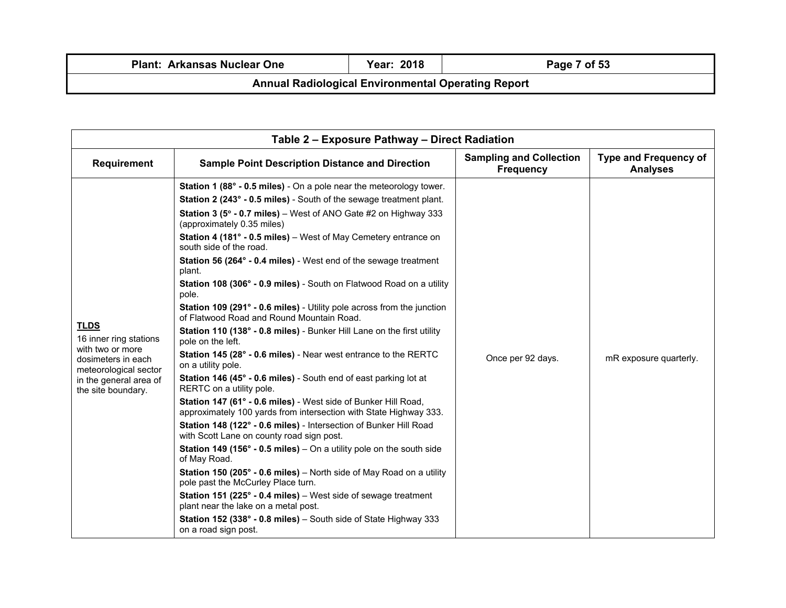| <b>Plant: Arkansas Nuclear One</b>                        | Year: 2018 | Page 7 of 53 |  |
|-----------------------------------------------------------|------------|--------------|--|
| <b>Annual Radiological Environmental Operating Report</b> |            |              |  |

| Table 2 - Exposure Pathway - Direct Radiation                                                                                                            |                                                                                                                                                                                                                                                                                                                                                                                                                                                                                                                                                                                                                                                                                                                                                                                                                                                                                                                                                                                                                                                                                                                                                                                                                                                                                                                  |                                                    |                                                 |  |
|----------------------------------------------------------------------------------------------------------------------------------------------------------|------------------------------------------------------------------------------------------------------------------------------------------------------------------------------------------------------------------------------------------------------------------------------------------------------------------------------------------------------------------------------------------------------------------------------------------------------------------------------------------------------------------------------------------------------------------------------------------------------------------------------------------------------------------------------------------------------------------------------------------------------------------------------------------------------------------------------------------------------------------------------------------------------------------------------------------------------------------------------------------------------------------------------------------------------------------------------------------------------------------------------------------------------------------------------------------------------------------------------------------------------------------------------------------------------------------|----------------------------------------------------|-------------------------------------------------|--|
| <b>Requirement</b>                                                                                                                                       | <b>Sample Point Description Distance and Direction</b>                                                                                                                                                                                                                                                                                                                                                                                                                                                                                                                                                                                                                                                                                                                                                                                                                                                                                                                                                                                                                                                                                                                                                                                                                                                           | <b>Sampling and Collection</b><br><b>Frequency</b> | <b>Type and Frequency of</b><br><b>Analyses</b> |  |
| <b>TLDS</b><br>16 inner ring stations<br>with two or more<br>dosimeters in each<br>meteorological sector<br>in the general area of<br>the site boundary. | Station 1 (88° - 0.5 miles) - On a pole near the meteorology tower.<br>Station 2 (243° - 0.5 miles) - South of the sewage treatment plant.<br><b>Station 3 (5<math>\degree</math> - 0.7 miles)</b> – West of ANO Gate #2 on Highway 333<br>(approximately 0.35 miles)<br>Station 4 (181° - 0.5 miles) - West of May Cemetery entrance on<br>south side of the road.<br><b>Station 56 (264° - 0.4 miles)</b> - West end of the sewage treatment<br>plant.<br>Station 108 (306° - 0.9 miles) - South on Flatwood Road on a utility<br>pole.<br>Station 109 (291° - 0.6 miles) - Utility pole across from the junction<br>of Flatwood Road and Round Mountain Road.<br>Station 110 (138° - 0.8 miles) - Bunker Hill Lane on the first utility<br>pole on the left.<br>Station 145 (28° - 0.6 miles) - Near west entrance to the RERTC<br>on a utility pole.<br>Station 146 (45° - 0.6 miles) - South end of east parking lot at<br>RERTC on a utility pole.<br>Station 147 (61° - 0.6 miles) - West side of Bunker Hill Road,<br>approximately 100 yards from intersection with State Highway 333.<br>Station 148 (122° - 0.6 miles) - Intersection of Bunker Hill Road<br>with Scott Lane on county road sign post.<br><b>Station 149 (156° - 0.5 miles)</b> – On a utility pole on the south side<br>of May Road. | Once per 92 days.                                  | mR exposure quarterly.                          |  |
|                                                                                                                                                          | Station 150 (205° - 0.6 miles) - North side of May Road on a utility<br>pole past the McCurley Place turn.<br><b>Station 151 (225<math>^{\circ}</math> - 0.4 miles)</b> – West side of sewage treatment<br>plant near the lake on a metal post.<br>Station 152 (338° - 0.8 miles) - South side of State Highway 333<br>on a road sign post.                                                                                                                                                                                                                                                                                                                                                                                                                                                                                                                                                                                                                                                                                                                                                                                                                                                                                                                                                                      |                                                    |                                                 |  |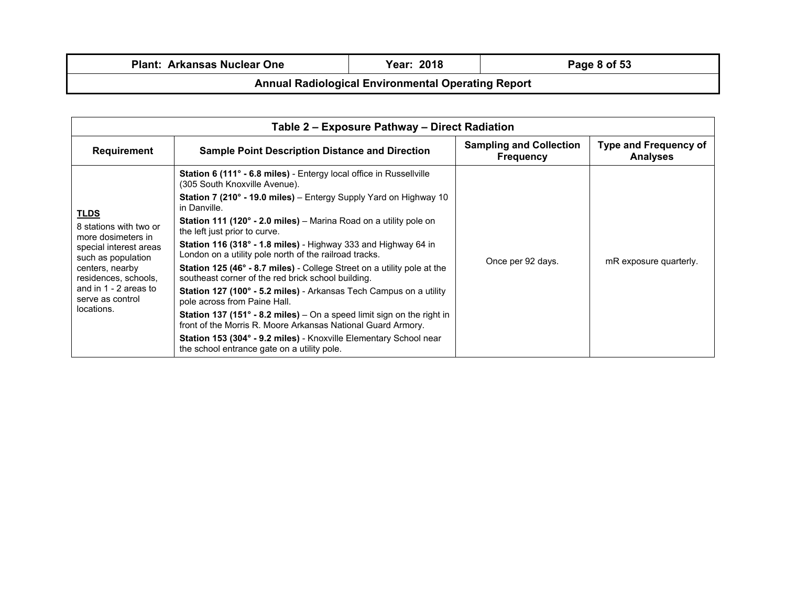| <b>Plant: Arkansas Nuclear One</b> |  |  |
|------------------------------------|--|--|
|------------------------------------|--|--|

| Table 2 - Exposure Pathway - Direct Radiation                                                                                                                                                                     |                                                                                                                                               |                                                    |                                                 |
|-------------------------------------------------------------------------------------------------------------------------------------------------------------------------------------------------------------------|-----------------------------------------------------------------------------------------------------------------------------------------------|----------------------------------------------------|-------------------------------------------------|
| Requirement                                                                                                                                                                                                       | <b>Sample Point Description Distance and Direction</b>                                                                                        | <b>Sampling and Collection</b><br><b>Frequency</b> | <b>Type and Frequency of</b><br><b>Analyses</b> |
|                                                                                                                                                                                                                   | Station 6 (111° - 6.8 miles) - Entergy local office in Russellville<br>(305 South Knoxville Avenue).                                          |                                                    |                                                 |
|                                                                                                                                                                                                                   | Station 7 (210° - 19.0 miles) – Entergy Supply Yard on Highway 10<br>in Danville.                                                             |                                                    |                                                 |
| <b>TLDS</b><br>8 stations with two or<br>more dosimeters in<br>special interest areas<br>such as population<br>centers, nearby<br>residences, schools,<br>and in 1 - 2 areas to<br>serve as control<br>locations. | <b>Station 111 (120° - 2.0 miles)</b> – Marina Road on a utility pole on<br>the left just prior to curve.                                     | Once per 92 days.                                  | mR exposure quarterly.                          |
|                                                                                                                                                                                                                   | <b>Station 116 (318° - 1.8 miles)</b> - Highway 333 and Highway 64 in<br>London on a utility pole north of the railroad tracks.               |                                                    |                                                 |
|                                                                                                                                                                                                                   | <b>Station 125 (46° - 8.7 miles)</b> - College Street on a utility pole at the<br>southeast corner of the red brick school building.          |                                                    |                                                 |
|                                                                                                                                                                                                                   | Station 127 (100° - 5.2 miles) - Arkansas Tech Campus on a utility<br>pole across from Paine Hall.                                            |                                                    |                                                 |
|                                                                                                                                                                                                                   | <b>Station 137 (151° - 8.2 miles)</b> – On a speed limit sign on the right in<br>front of the Morris R. Moore Arkansas National Guard Armory. |                                                    |                                                 |
|                                                                                                                                                                                                                   | Station 153 (304° - 9.2 miles) - Knoxville Elementary School near<br>the school entrance gate on a utility pole.                              |                                                    |                                                 |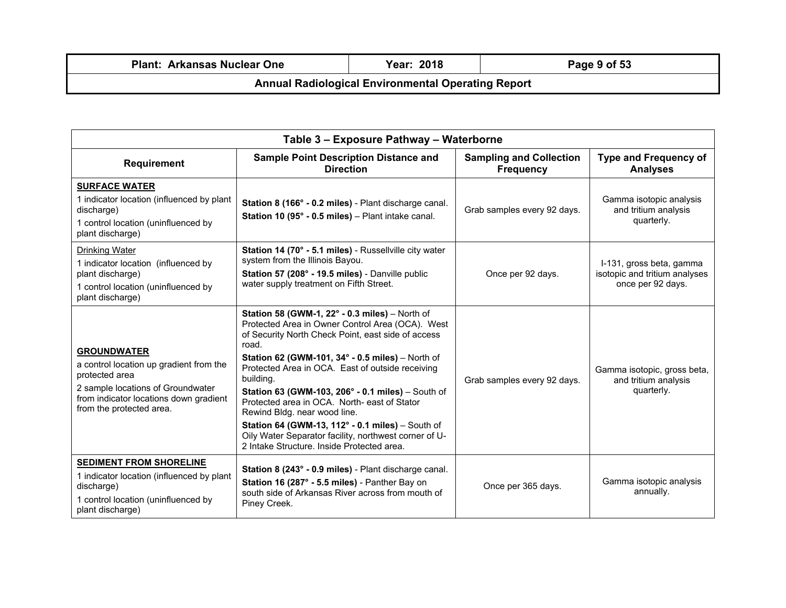| <b>Plant: Arkansas Nuclear One</b>                        | <b>Year: 2018</b> | Page 9 of 53 |  |
|-----------------------------------------------------------|-------------------|--------------|--|
| <b>Annual Radiological Environmental Operating Report</b> |                   |              |  |

| Table 3 - Exposure Pathway - Waterborne                                                                                                                                                    |                                                                                                                                                                                                                                                                                                                                                                                                                                                                                                                                                                                        |                                                    |                                                                                |
|--------------------------------------------------------------------------------------------------------------------------------------------------------------------------------------------|----------------------------------------------------------------------------------------------------------------------------------------------------------------------------------------------------------------------------------------------------------------------------------------------------------------------------------------------------------------------------------------------------------------------------------------------------------------------------------------------------------------------------------------------------------------------------------------|----------------------------------------------------|--------------------------------------------------------------------------------|
| <b>Requirement</b>                                                                                                                                                                         | <b>Sample Point Description Distance and</b><br><b>Direction</b>                                                                                                                                                                                                                                                                                                                                                                                                                                                                                                                       | <b>Sampling and Collection</b><br><b>Frequency</b> | <b>Type and Frequency of</b><br><b>Analyses</b>                                |
| <b>SURFACE WATER</b><br>1 indicator location (influenced by plant<br>discharge)<br>1 control location (uninfluenced by<br>plant discharge)                                                 | Station 8 (166° - 0.2 miles) - Plant discharge canal.<br>Station 10 (95° - 0.5 miles) - Plant intake canal.                                                                                                                                                                                                                                                                                                                                                                                                                                                                            | Grab samples every 92 days.                        | Gamma isotopic analysis<br>and tritium analysis<br>quarterly.                  |
| <b>Drinking Water</b><br>1 indicator location (influenced by<br>plant discharge)<br>1 control location (uninfluenced by<br>plant discharge)                                                | Station 14 (70° - 5.1 miles) - Russellville city water<br>system from the Illinois Bayou.<br>Station 57 (208° - 19.5 miles) - Danville public<br>water supply treatment on Fifth Street.                                                                                                                                                                                                                                                                                                                                                                                               | Once per 92 days.                                  | I-131, gross beta, gamma<br>isotopic and tritium analyses<br>once per 92 days. |
| <b>GROUNDWATER</b><br>a control location up gradient from the<br>protected area<br>2 sample locations of Groundwater<br>from indicator locations down gradient<br>from the protected area. | Station 58 (GWM-1, 22° - 0.3 miles) - North of<br>Protected Area in Owner Control Area (OCA). West<br>of Security North Check Point, east side of access<br>road.<br>Station 62 (GWM-101, 34° - 0.5 miles) - North of<br>Protected Area in OCA. East of outside receiving<br>building.<br>Station 63 (GWM-103, 206° - 0.1 miles) – South of<br>Protected area in OCA. North- east of Stator<br>Rewind Bldg. near wood line.<br>Station 64 (GWM-13, 112° - 0.1 miles) - South of<br>Oily Water Separator facility, northwest corner of U-<br>2 Intake Structure, Inside Protected area. | Grab samples every 92 days.                        | Gamma isotopic, gross beta,<br>and tritium analysis<br>quarterly.              |
| <b>SEDIMENT FROM SHORELINE</b><br>1 indicator location (influenced by plant<br>discharge)<br>1 control location (uninfluenced by<br>plant discharge)                                       | Station 8 (243° - 0.9 miles) - Plant discharge canal.<br>Station 16 (287° - 5.5 miles) - Panther Bay on<br>south side of Arkansas River across from mouth of<br>Piney Creek.                                                                                                                                                                                                                                                                                                                                                                                                           | Once per 365 days.                                 | Gamma isotopic analysis<br>annually.                                           |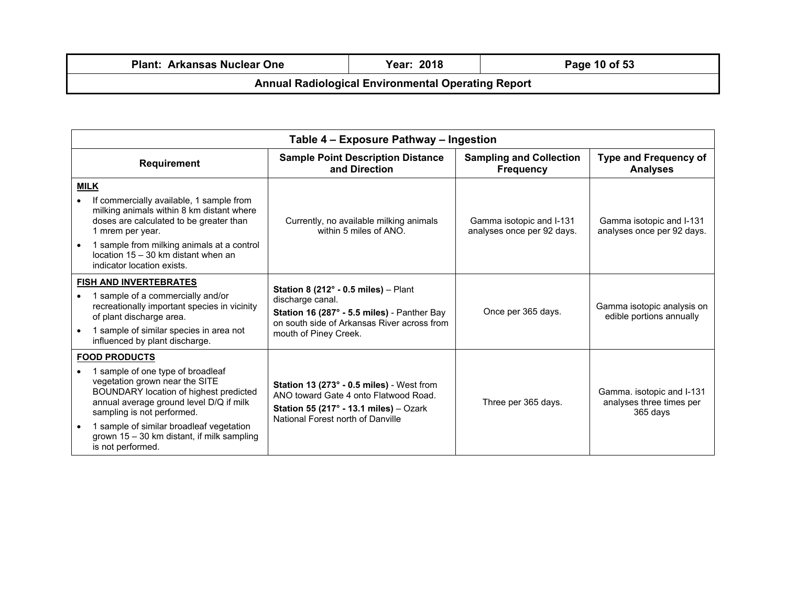|                                                           | <b>Plant: Arkansas Nuclear One</b> | Year: 2018 | Page 10 of 53 |
|-----------------------------------------------------------|------------------------------------|------------|---------------|
| <b>Annual Radiological Environmental Operating Report</b> |                                    |            |               |

| Table 4 - Exposure Pathway - Ingestion |                                                                                                                                                                                                                                                                                                                               |                                                                                                                                                                                           |                                                        |                                                                   |
|----------------------------------------|-------------------------------------------------------------------------------------------------------------------------------------------------------------------------------------------------------------------------------------------------------------------------------------------------------------------------------|-------------------------------------------------------------------------------------------------------------------------------------------------------------------------------------------|--------------------------------------------------------|-------------------------------------------------------------------|
|                                        | <b>Requirement</b>                                                                                                                                                                                                                                                                                                            | <b>Sample Point Description Distance</b><br>and Direction                                                                                                                                 | <b>Sampling and Collection</b><br><b>Frequency</b>     | <b>Type and Frequency of</b><br><b>Analyses</b>                   |
|                                        | <b>MILK</b><br>If commercially available, 1 sample from<br>milking animals within 8 km distant where<br>doses are calculated to be greater than<br>1 mrem per year.<br>1 sample from milking animals at a control<br>location 15 - 30 km distant when an<br>indicator location exists.                                        | Currently, no available milking animals<br>within 5 miles of ANO.                                                                                                                         | Gamma isotopic and I-131<br>analyses once per 92 days. | Gamma isotopic and I-131<br>analyses once per 92 days.            |
|                                        | <b>FISH AND INVERTEBRATES</b><br>1 sample of a commercially and/or<br>recreationally important species in vicinity<br>of plant discharge area.<br>1 sample of similar species in area not<br>influenced by plant discharge.                                                                                                   | Station 8 (212 $^{\circ}$ - 0.5 miles) - Plant<br>discharge canal.<br>Station 16 (287° - 5.5 miles) - Panther Bay<br>on south side of Arkansas River across from<br>mouth of Piney Creek. | Once per 365 days.                                     | Gamma isotopic analysis on<br>edible portions annually            |
|                                        | <b>FOOD PRODUCTS</b><br>1 sample of one type of broadleaf<br>vegetation grown near the SITE<br>BOUNDARY location of highest predicted<br>annual average ground level D/Q if milk<br>sampling is not performed.<br>1 sample of similar broadleaf vegetation<br>grown 15 - 30 km distant, if milk sampling<br>is not performed. | Station 13 (273° - 0.5 miles) - West from<br>ANO toward Gate 4 onto Flatwood Road.<br>Station 55 (217 $\degree$ - 13.1 miles) - Ozark<br>National Forest north of Danville                | Three per 365 days.                                    | Gamma. isotopic and I-131<br>analyses three times per<br>365 days |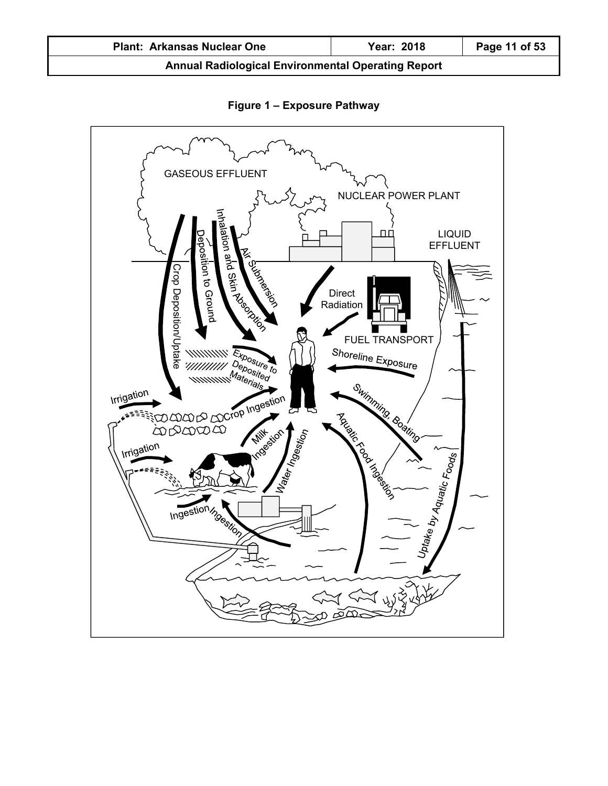| <b>Plant: Arkansas Nuclear One</b>                        | Year: 2018 | Page 11 of 53 |
|-----------------------------------------------------------|------------|---------------|
| <b>Annual Radiological Environmental Operating Report</b> |            |               |

GASEOUS EFFLUENT NUCLEAR POWER PLANT lation ДΟ LIQUID on and Skin Assault EFFLUENT osition to Ground Aires Mercian Crop Deposition/Department of the CROSS of the CROSS of the CROSS of the CROSS of the CROSS of the CROSS of the CROSS of the CROSS of the CROSS of the CROSS of the CROSS of the CROSS of the CROSS of the CROSS of the CROSS Direct Radiation FUEL TRANSPORT<br>Shoreline Exposure Swimming. Boating Marian Bandarian I Water Ingestion **Mille Silon Milk** Uptake by Aquatic Foods

## **Figure 1 – Exposure Pathway**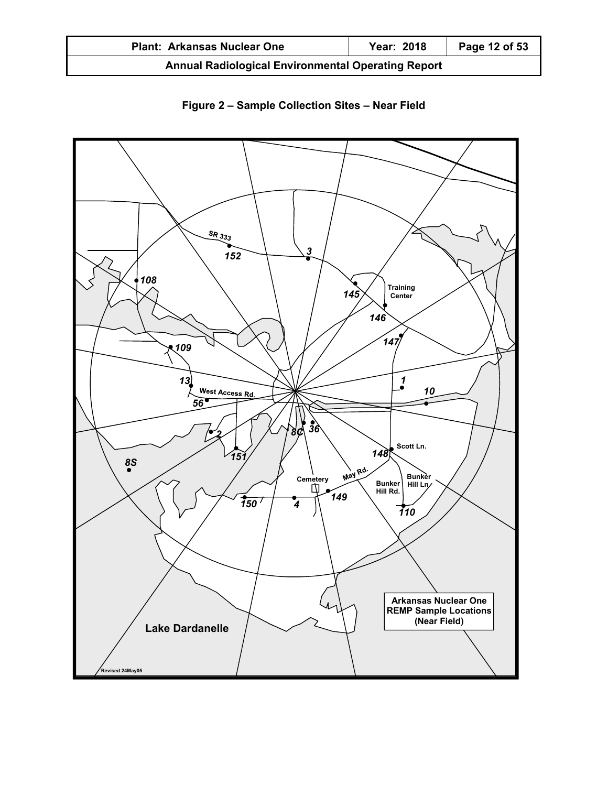| <b>Plant: Arkansas Nuclear One</b>                        | <b>Year: 2018</b> | Page 12 of 53 |
|-----------------------------------------------------------|-------------------|---------------|
| <b>Annual Radiological Environmental Operating Report</b> |                   |               |



**Figure 2 – Sample Collection Sites – Near Field**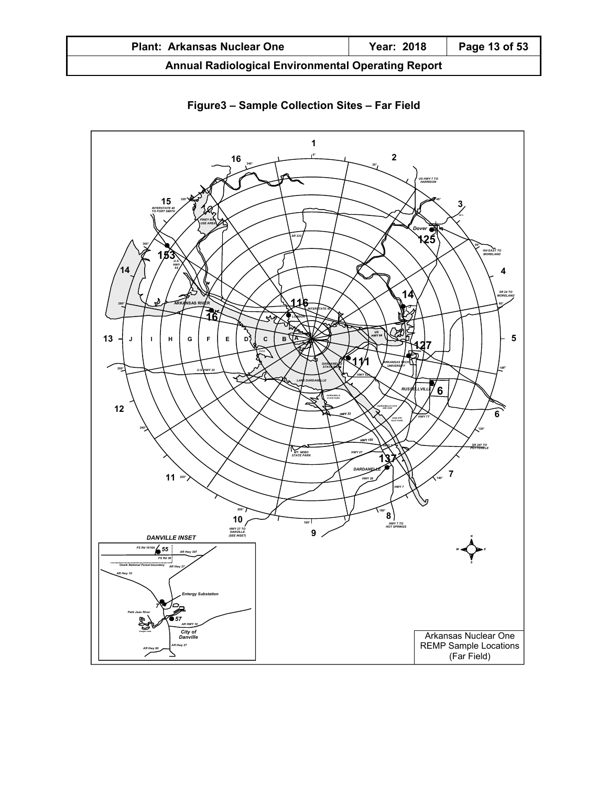| <b>Plant: Arkansas Nuclear One</b>                        | Year: 2018 | Page 13 of 53 |
|-----------------------------------------------------------|------------|---------------|
| <b>Annual Radiological Environmental Operating Report</b> |            |               |



**Figure3 – Sample Collection Sites – Far Field**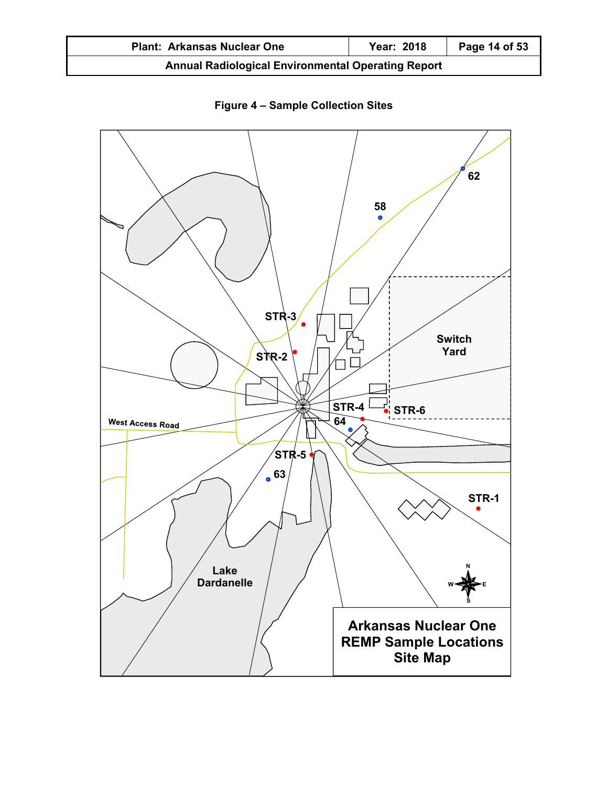| <b>Plant: Arkansas Nuclear One</b>                        | <b>Year: 2018</b> | Page 14 of 53 |
|-----------------------------------------------------------|-------------------|---------------|
| <b>Annual Radiological Environmental Operating Report</b> |                   |               |



**Figure 4 – Sample Collection Sites**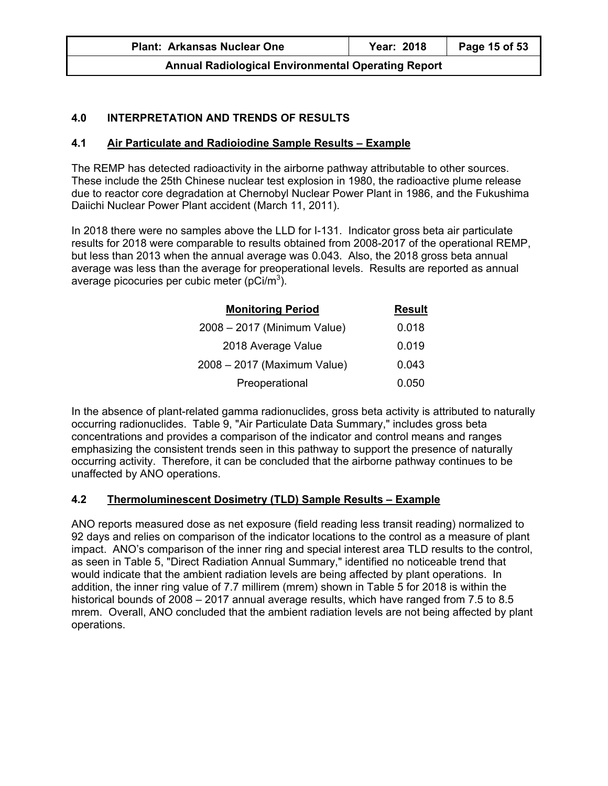| <b>Plant: Arkansas Nuclear One</b>                        | Year: 2018 | Page 15 of 53 |
|-----------------------------------------------------------|------------|---------------|
| <b>Annual Radiological Environmental Operating Report</b> |            |               |

# **4.0 INTERPRETATION AND TRENDS OF RESULTS**

## **4.1 Air Particulate and Radioiodine Sample Results – Example**

The REMP has detected radioactivity in the airborne pathway attributable to other sources. These include the 25th Chinese nuclear test explosion in 1980, the radioactive plume release due to reactor core degradation at Chernobyl Nuclear Power Plant in 1986, and the Fukushima Daiichi Nuclear Power Plant accident (March 11, 2011).

In 2018 there were no samples above the LLD for I-131. Indicator gross beta air particulate results for 2018 were comparable to results obtained from 2008-2017 of the operational REMP, but less than 2013 when the annual average was 0.043. Also, the 2018 gross beta annual average was less than the average for preoperational levels. Results are reported as annual average picocuries per cubic meter (pCi/m<sup>3</sup>).

| <b>Monitoring Period</b>    | <b>Result</b> |
|-----------------------------|---------------|
| 2008 - 2017 (Minimum Value) | 0.018         |
| 2018 Average Value          | 0.019         |
| 2008 - 2017 (Maximum Value) | 0.043         |
| Preoperational              | 0.050         |

In the absence of plant-related gamma radionuclides, gross beta activity is attributed to naturally occurring radionuclides. Table 9, "Air Particulate Data Summary," includes gross beta concentrations and provides a comparison of the indicator and control means and ranges emphasizing the consistent trends seen in this pathway to support the presence of naturally occurring activity. Therefore, it can be concluded that the airborne pathway continues to be unaffected by ANO operations.

## **4.2 Thermoluminescent Dosimetry (TLD) Sample Results – Example**

ANO reports measured dose as net exposure (field reading less transit reading) normalized to 92 days and relies on comparison of the indicator locations to the control as a measure of plant impact. ANO's comparison of the inner ring and special interest area TLD results to the control, as seen in Table 5, "Direct Radiation Annual Summary," identified no noticeable trend that would indicate that the ambient radiation levels are being affected by plant operations. In addition, the inner ring value of 7.7 millirem (mrem) shown in Table 5 for 2018 is within the historical bounds of 2008 – 2017 annual average results, which have ranged from 7.5 to 8.5 mrem. Overall, ANO concluded that the ambient radiation levels are not being affected by plant operations.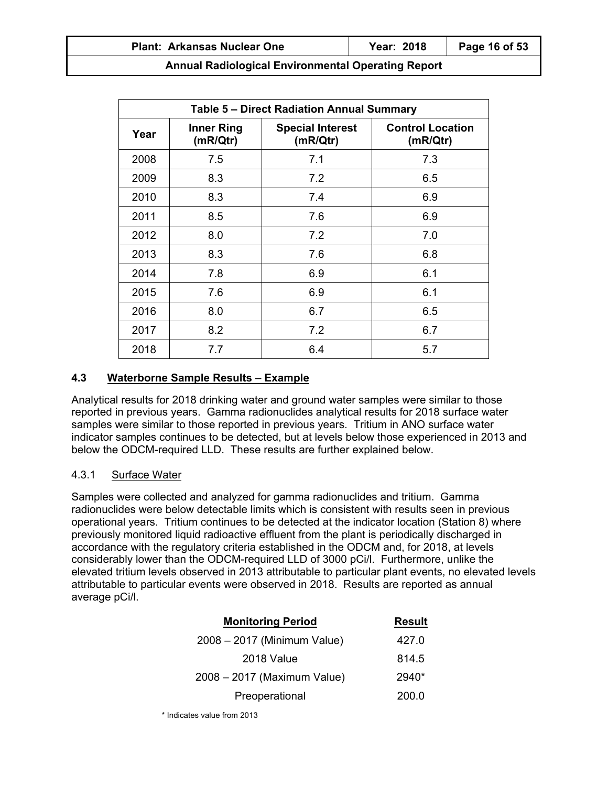| Table 5 - Direct Radiation Annual Summary                                                                           |     |     |     |  |
|---------------------------------------------------------------------------------------------------------------------|-----|-----|-----|--|
| <b>Control Location</b><br><b>Inner Ring</b><br><b>Special Interest</b><br>Year<br>(mR/Qtr)<br>(mR/Qtr)<br>(mR/Qtr) |     |     |     |  |
| 2008                                                                                                                | 7.5 | 7.1 | 7.3 |  |
| 2009                                                                                                                | 8.3 | 7.2 | 6.5 |  |
| 2010                                                                                                                | 8.3 | 7.4 | 6.9 |  |
| 2011                                                                                                                | 8.5 | 7.6 | 6.9 |  |
| 2012                                                                                                                | 8.0 | 7.2 | 7.0 |  |
| 2013                                                                                                                | 8.3 | 7.6 | 6.8 |  |
| 2014                                                                                                                | 7.8 | 6.9 | 6.1 |  |
| 2015                                                                                                                | 7.6 | 6.9 | 6.1 |  |
| 2016                                                                                                                | 8.0 | 6.7 | 6.5 |  |
| 2017                                                                                                                | 8.2 | 7.2 | 6.7 |  |
| 2018                                                                                                                | 7.7 | 6.4 | 5.7 |  |

## **4.3 Waterborne Sample Results** – **Example**

Analytical results for 2018 drinking water and ground water samples were similar to those reported in previous years. Gamma radionuclides analytical results for 2018 surface water samples were similar to those reported in previous years. Tritium in ANO surface water indicator samples continues to be detected, but at levels below those experienced in 2013 and below the ODCM-required LLD. These results are further explained below.

## 4.3.1 Surface Water

Samples were collected and analyzed for gamma radionuclides and tritium. Gamma radionuclides were below detectable limits which is consistent with results seen in previous operational years. Tritium continues to be detected at the indicator location (Station 8) where previously monitored liquid radioactive effluent from the plant is periodically discharged in accordance with the regulatory criteria established in the ODCM and, for 2018, at levels considerably lower than the ODCM-required LLD of 3000 pCi/l. Furthermore, unlike the elevated tritium levels observed in 2013 attributable to particular plant events, no elevated levels attributable to particular events were observed in 2018. Results are reported as annual average pCi/l.

| <b>Result</b> |
|---------------|
| 427.0         |
| 814.5         |
| 2940*         |
| 200.0         |
|               |

\* Indicates value from 2013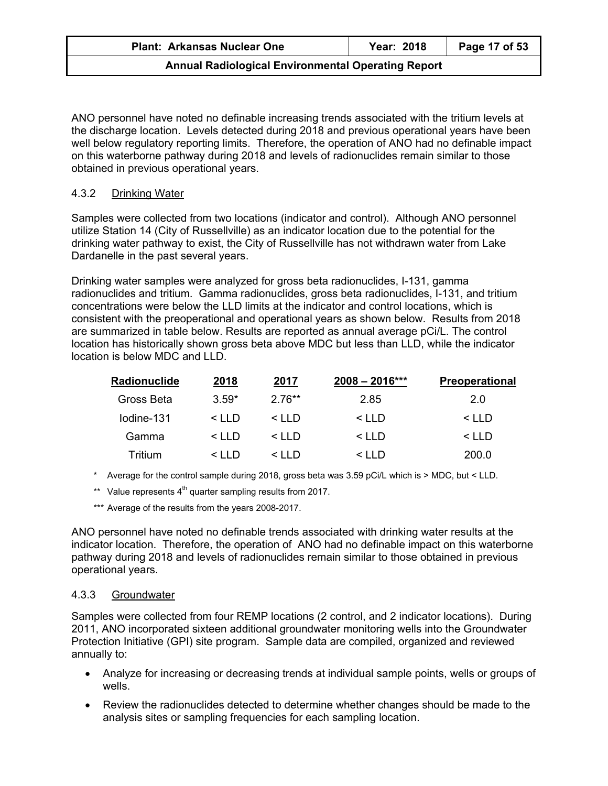ANO personnel have noted no definable increasing trends associated with the tritium levels at the discharge location. Levels detected during 2018 and previous operational years have been well below regulatory reporting limits. Therefore, the operation of ANO had no definable impact on this waterborne pathway during 2018 and levels of radionuclides remain similar to those obtained in previous operational years.

## 4.3.2 Drinking Water

Samples were collected from two locations (indicator and control). Although ANO personnel utilize Station 14 (City of Russellville) as an indicator location due to the potential for the drinking water pathway to exist, the City of Russellville has not withdrawn water from Lake Dardanelle in the past several years.

Drinking water samples were analyzed for gross beta radionuclides, I-131, gamma radionuclides and tritium. Gamma radionuclides, gross beta radionuclides, I-131, and tritium concentrations were below the LLD limits at the indicator and control locations, which is consistent with the preoperational and operational years as shown below. Results from 2018 are summarized in table below. Results are reported as annual average pCi/L. The control location has historically shown gross beta above MDC but less than LLD, while the indicator location is below MDC and LLD.

| Radionuclide | 2018          | 2017          | $2008 - 2016***$ | <b>Preoperational</b> |
|--------------|---------------|---------------|------------------|-----------------------|
| Gross Beta   | $3.59*$       | $2.76**$      | 2.85             | 2.0                   |
| Iodine-131   | $\leq$ I I D  | $\leq$ IID    | < LLD            | $\leq$ IID            |
| Gamma        | $\leq$ IID    | $\leq$ I I D  | $\leq$ I I D     | $\leq$ I I D          |
| Tritium      | $\leq$ $\Box$ | $\leq$ $\Box$ | $\leq$ I I D     | 200.0                 |

- \* Average for the control sample during 2018, gross beta was 3.59 pCi/L which is > MDC, but < LLD.
- \*\* Value represents  $4<sup>th</sup>$  quarter sampling results from 2017.
- \*\*\* Average of the results from the years 2008-2017.

ANO personnel have noted no definable trends associated with drinking water results at the indicator location. Therefore, the operation of ANO had no definable impact on this waterborne pathway during 2018 and levels of radionuclides remain similar to those obtained in previous operational years.

#### 4.3.3 Groundwater

Samples were collected from four REMP locations (2 control, and 2 indicator locations). During 2011, ANO incorporated sixteen additional groundwater monitoring wells into the Groundwater Protection Initiative (GPI) site program. Sample data are compiled, organized and reviewed annually to:

- Analyze for increasing or decreasing trends at individual sample points, wells or groups of wells.
- Review the radionuclides detected to determine whether changes should be made to the analysis sites or sampling frequencies for each sampling location.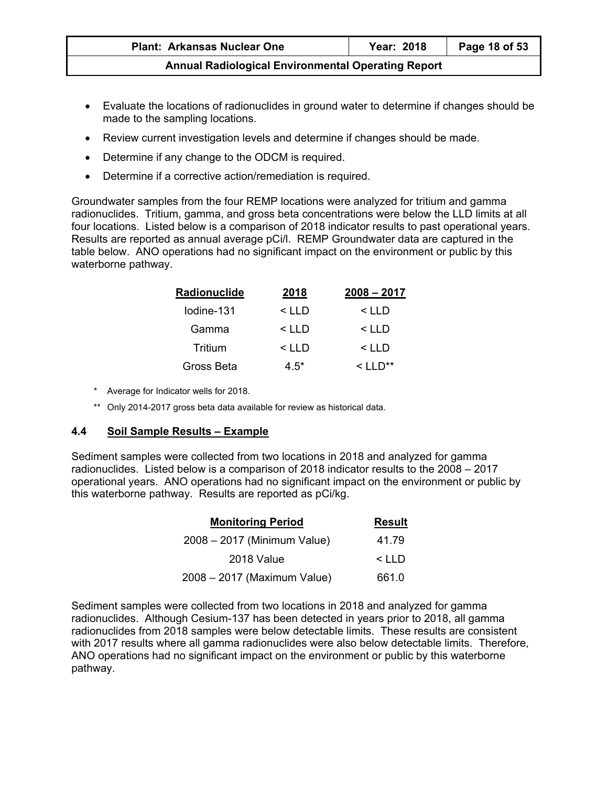| <b>Plant: Arkansas Nuclear One</b>                        | Year: 2018 | Page 18 of 53 |
|-----------------------------------------------------------|------------|---------------|
| <b>Annual Radiological Environmental Operating Report</b> |            |               |

- Evaluate the locations of radionuclides in ground water to determine if changes should be made to the sampling locations.
- Review current investigation levels and determine if changes should be made.
- Determine if any change to the ODCM is required.
- Determine if a corrective action/remediation is required.

Groundwater samples from the four REMP locations were analyzed for tritium and gamma radionuclides. Tritium, gamma, and gross beta concentrations were below the LLD limits at all four locations. Listed below is a comparison of 2018 indicator results to past operational years. Results are reported as annual average pCi/l. REMP Groundwater data are captured in the table below. ANO operations had no significant impact on the environment or public by this waterborne pathway.

| Radionuclide | 2018         | $2008 - 2017$ |
|--------------|--------------|---------------|
| lodine-131   | $\leq$ I I D | $<$ LLD       |
| Gamma        | $\leq$ I I D | $<$ LLD       |
| Tritium      | $\leq$ I I D | $<$ LLD       |
| Gross Beta   | 4.5*         |               |

- \* Average for Indicator wells for 2018.
- \*\* Only 2014-2017 gross beta data available for review as historical data.

## **4.4 Soil Sample Results – Example**

Sediment samples were collected from two locations in 2018 and analyzed for gamma radionuclides. Listed below is a comparison of 2018 indicator results to the 2008 – 2017 operational years. ANO operations had no significant impact on the environment or public by this waterborne pathway. Results are reported as pCi/kg.

| <b>Monitoring Period</b>    | <b>Result</b> |
|-----------------------------|---------------|
| 2008 – 2017 (Minimum Value) | 41.79         |
| 2018 Value                  | $\leq$ IID    |
| 2008 – 2017 (Maximum Value) | 661.0         |

Sediment samples were collected from two locations in 2018 and analyzed for gamma radionuclides. Although Cesium-137 has been detected in years prior to 2018, all gamma radionuclides from 2018 samples were below detectable limits. These results are consistent with 2017 results where all gamma radionuclides were also below detectable limits. Therefore, ANO operations had no significant impact on the environment or public by this waterborne pathway.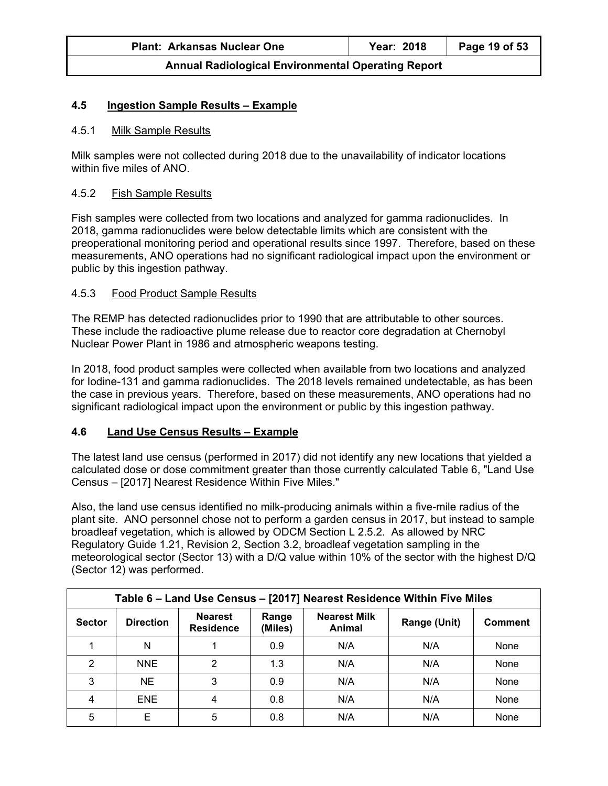| <b>Plant: Arkansas Nuclear One</b>                        | Year: 2018 | Page 19 of 53 |
|-----------------------------------------------------------|------------|---------------|
| <b>Annual Radiological Environmental Operating Report</b> |            |               |

## **4.5 Ingestion Sample Results – Example**

#### 4.5.1 Milk Sample Results

Milk samples were not collected during 2018 due to the unavailability of indicator locations within five miles of ANO.

#### 4.5.2 Fish Sample Results

Fish samples were collected from two locations and analyzed for gamma radionuclides. In 2018, gamma radionuclides were below detectable limits which are consistent with the preoperational monitoring period and operational results since 1997. Therefore, based on these measurements, ANO operations had no significant radiological impact upon the environment or public by this ingestion pathway.

#### 4.5.3 Food Product Sample Results

The REMP has detected radionuclides prior to 1990 that are attributable to other sources. These include the radioactive plume release due to reactor core degradation at Chernobyl Nuclear Power Plant in 1986 and atmospheric weapons testing.

In 2018, food product samples were collected when available from two locations and analyzed for Iodine-131 and gamma radionuclides. The 2018 levels remained undetectable, as has been the case in previous years. Therefore, based on these measurements, ANO operations had no significant radiological impact upon the environment or public by this ingestion pathway.

## **4.6 Land Use Census Results – Example**

The latest land use census (performed in 2017) did not identify any new locations that yielded a calculated dose or dose commitment greater than those currently calculated Table 6, "Land Use Census – [2017] Nearest Residence Within Five Miles."

Also, the land use census identified no milk-producing animals within a five-mile radius of the plant site. ANO personnel chose not to perform a garden census in 2017, but instead to sample broadleaf vegetation, which is allowed by ODCM Section L 2.5.2. As allowed by NRC Regulatory Guide 1.21, Revision 2, Section 3.2, broadleaf vegetation sampling in the meteorological sector (Sector 13) with a D/Q value within 10% of the sector with the highest D/Q (Sector 12) was performed.

| Table 6 - Land Use Census - [2017] Nearest Residence Within Five Miles |                  |                                    |                  |                               |              |                |
|------------------------------------------------------------------------|------------------|------------------------------------|------------------|-------------------------------|--------------|----------------|
| <b>Sector</b>                                                          | <b>Direction</b> | <b>Nearest</b><br><b>Residence</b> | Range<br>(Miles) | <b>Nearest Milk</b><br>Animal | Range (Unit) | <b>Comment</b> |
|                                                                        | N                |                                    | 0.9              | N/A                           | N/A          | None           |
| $\mathcal{P}$                                                          | <b>NNE</b>       | っ                                  | 1.3              | N/A                           | N/A          | None           |
| 3                                                                      | <b>NE</b>        | 3                                  | 0.9              | N/A                           | N/A          | None           |
| 4                                                                      | <b>ENE</b>       | 4                                  | 0.8              | N/A                           | N/A          | None           |
| 5                                                                      | E                | 5                                  | 0.8              | N/A                           | N/A          | None           |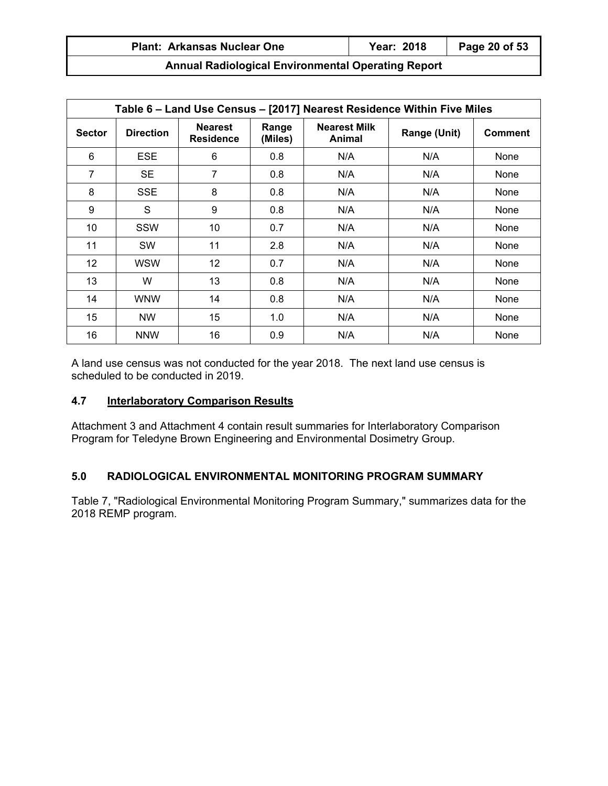| <b>Plant: Arkansas Nuclear One</b>                        | Year: 2018 | Page 20 of 53 |
|-----------------------------------------------------------|------------|---------------|
| <b>Annual Radiological Environmental Operating Report</b> |            |               |

| Table 6 - Land Use Census - [2017] Nearest Residence Within Five Miles |                  |                                    |                  |                               |              |                |
|------------------------------------------------------------------------|------------------|------------------------------------|------------------|-------------------------------|--------------|----------------|
| <b>Sector</b>                                                          | <b>Direction</b> | <b>Nearest</b><br><b>Residence</b> | Range<br>(Miles) | <b>Nearest Milk</b><br>Animal | Range (Unit) | <b>Comment</b> |
| 6                                                                      | <b>ESE</b>       | 6                                  | 0.8              | N/A                           | N/A          | None           |
| $\overline{7}$                                                         | <b>SE</b>        | 7                                  | 0.8              | N/A                           | N/A          | None           |
| 8                                                                      | <b>SSE</b>       | 8                                  | 0.8              | N/A                           | N/A          | None           |
| 9                                                                      | S                | 9                                  | 0.8              | N/A                           | N/A          | <b>None</b>    |
| 10                                                                     | <b>SSW</b>       | 10                                 | 0.7              | N/A                           | N/A          | None           |
| 11                                                                     | <b>SW</b>        | 11                                 | 2.8              | N/A                           | N/A          | None           |
| 12                                                                     | <b>WSW</b>       | $12 \overline{ }$                  | 0.7              | N/A                           | N/A          | None           |
| 13                                                                     | W                | 13                                 | 0.8              | N/A                           | N/A          | <b>None</b>    |
| 14                                                                     | <b>WNW</b>       | 14                                 | 0.8              | N/A                           | N/A          | None           |
| 15                                                                     | <b>NW</b>        | 15                                 | 1.0              | N/A                           | N/A          | None           |
| 16                                                                     | <b>NNW</b>       | 16                                 | 0.9              | N/A                           | N/A          | None           |

A land use census was not conducted for the year 2018. The next land use census is scheduled to be conducted in 2019.

## **4.7 Interlaboratory Comparison Results**

Attachment 3 and Attachment 4 contain result summaries for Interlaboratory Comparison Program for Teledyne Brown Engineering and Environmental Dosimetry Group.

# **5.0 RADIOLOGICAL ENVIRONMENTAL MONITORING PROGRAM SUMMARY**

Table 7, "Radiological Environmental Monitoring Program Summary," summarizes data for the 2018 REMP program.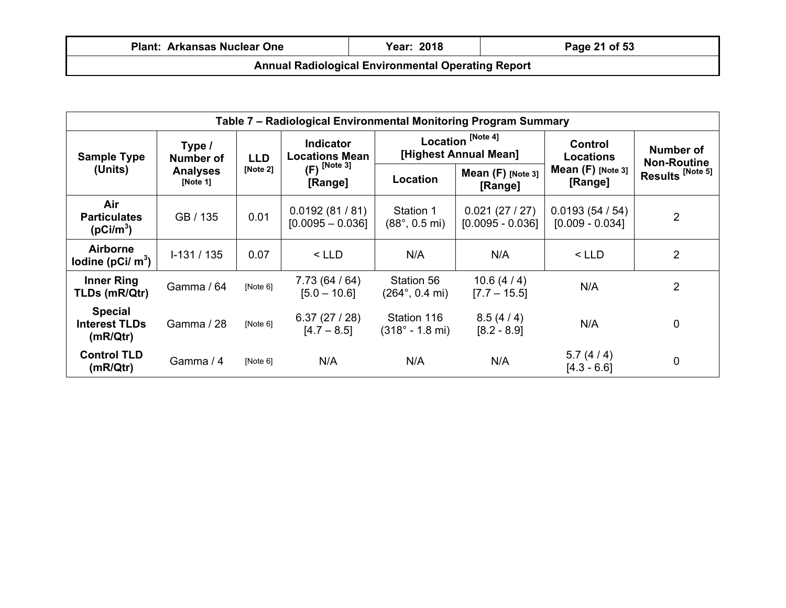| <b>Plant: Arkansas Nuclear One</b>                        | <b>Year: 2018</b> | Page 21 of 53 |  |  |  |
|-----------------------------------------------------------|-------------------|---------------|--|--|--|
| <b>Annual Radiological Environmental Operating Report</b> |                   |               |  |  |  |

| Table 7 – Radiological Environmental Monitoring Program Summary |                                   |          |                                           |                                               |                                                       |                                    |                                 |
|-----------------------------------------------------------------|-----------------------------------|----------|-------------------------------------------|-----------------------------------------------|-------------------------------------------------------|------------------------------------|---------------------------------|
| <b>Sample Type</b>                                              | Type /<br><b>LLD</b><br>Number of |          | <b>Indicator</b><br><b>Locations Mean</b> |                                               | Location <sup>[Note 4]</sup><br>[Highest Annual Mean] |                                    | Number of<br><b>Non-Routine</b> |
| (Units)                                                         | <b>Analyses</b><br>[Note 1]       | [Note 2] | $(F)$ <sup>[Note 3]</sup><br>[Range]      | Location                                      | Mean $(F)$ [Note 3]<br>[Range]                        | Mean $(F)$ [Note 3]<br>[Range]     | Results <sup>[Note 5]</sup>     |
| Air<br><b>Particulates</b><br>(pCi/m <sup>3</sup> )             | GB / 135                          | 0.01     | 0.0192(81/81)<br>$[0.0095 - 0.036]$       | Station 1<br>$(88^{\circ}, 0.5 \text{ mi})$   | 0.021(27/27)<br>$[0.0095 - 0.036]$                    | 0.0193(54/54)<br>$[0.009 - 0.034]$ | $\overline{2}$                  |
| <b>Airborne</b><br>lodine (pCi/ $m3$ )                          | $I-131/135$                       | 0.07     | $<$ LLD                                   | N/A                                           | N/A                                                   | $<$ LLD                            | 2                               |
| <b>Inner Ring</b><br>TLDs (mR/Qtr)                              | Gamma / 64                        | [Note 6] | 7.73 (64 / 64)<br>$[5.0 - 10.6]$          | Station 56<br>$(264^{\circ}, 0.4 \text{ mi})$ | 10.6(4/4)<br>$[7.7 - 15.5]$                           | N/A                                | $\overline{2}$                  |
| <b>Special</b><br><b>Interest TLDs</b><br>(mR/Qtr)              | Gamma / 28                        | [Note 6] | 6.37(27/28)<br>$[4.7 - 8.5]$              | Station 116<br>$(318° - 1.8 m)$               | 8.5(4/4)<br>$[8.2 - 8.9]$                             | N/A                                | 0                               |
| <b>Control TLD</b><br>(mR/Qtr)                                  | Gamma / 4                         | [Note 6] | N/A                                       | N/A                                           | N/A                                                   | 5.7(4/4)<br>$[4.3 - 6.6]$          | $\mathbf 0$                     |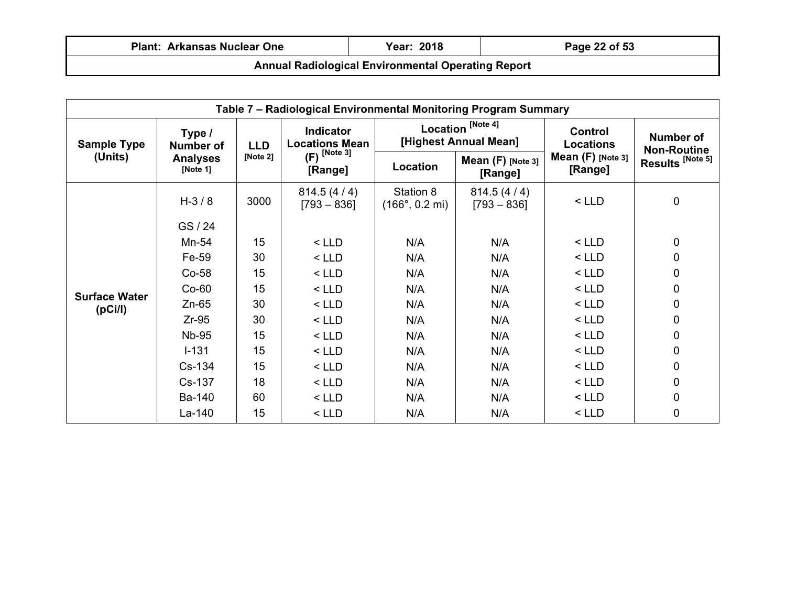| <b>Plant: Arkansas Nuclear One</b>                        | Year: 2018 | Page 22 of 53 |  |  |  |
|-----------------------------------------------------------|------------|---------------|--|--|--|
| <b>Annual Radiological Environmental Operating Report</b> |            |               |  |  |  |

| Table 7 - Radiological Environmental Monitoring Program Summary |                             |            |                                      |                                                       |                                |                                    |                                 |
|-----------------------------------------------------------------|-----------------------------|------------|--------------------------------------|-------------------------------------------------------|--------------------------------|------------------------------------|---------------------------------|
| <b>Sample Type</b>                                              | Type /<br><b>Number of</b>  | <b>LLD</b> | Indicator<br><b>Locations Mean</b>   | Location <sup>[Note 4]</sup><br>[Highest Annual Mean] |                                | <b>Control</b><br><b>Locations</b> | Number of<br><b>Non-Routine</b> |
| (Units)                                                         | <b>Analyses</b><br>[Note 1] | [Note 2]   | $(F)$ <sup>[Note 3]</sup><br>[Range] | Location                                              | Mean $(F)$ [Note 3]<br>[Range] | Mean $(F)$ [Note 3]<br>[Range]     | Results <sup>[Note 5]</sup>     |
|                                                                 | $H - 3 / 8$                 | 3000       | 814.5(4/4)<br>$[793 - 836]$          | Station 8<br>$(166^{\circ}, 0.2 \text{ mi})$          | 814.5(4/4)<br>$[793 - 836]$    | $<$ LLD                            | $\mathbf 0$                     |
|                                                                 | GS / 24                     |            |                                      |                                                       |                                |                                    |                                 |
|                                                                 | Mn-54                       | 15         | $<$ LLD                              | N/A                                                   | N/A                            | $<$ LLD                            | $\mathbf 0$                     |
|                                                                 | Fe-59                       | 30         | $<$ LLD                              | N/A                                                   | N/A                            | $<$ LLD                            | 0                               |
|                                                                 | $Co-58$                     | 15         | $<$ LLD                              | N/A                                                   | N/A                            | $<$ LLD                            | 0                               |
| <b>Surface Water</b>                                            | $Co-60$                     | 15         | $<$ LLD                              | N/A                                                   | N/A                            | $<$ LLD                            | 0                               |
| (pCi/l)                                                         | $Zn-65$                     | 30         | $<$ LLD                              | N/A                                                   | N/A                            | $<$ LLD                            | 0                               |
|                                                                 | $Zr-95$                     | 30         | $<$ LLD                              | N/A                                                   | N/A                            | $<$ LLD                            | 0                               |
|                                                                 | <b>Nb-95</b>                | 15         | $<$ LLD                              | N/A                                                   | N/A                            | $<$ LLD                            | 0                               |
|                                                                 | $I - 131$                   | 15         | $<$ LLD                              | N/A                                                   | N/A                            | $<$ LLD                            | 0                               |
|                                                                 | Cs-134                      | 15         | $<$ LLD                              | N/A                                                   | N/A                            | $<$ LLD                            | 0                               |
|                                                                 | Cs-137                      | 18         | $<$ LLD                              | N/A                                                   | N/A                            | $<$ LLD                            | 0                               |
|                                                                 | Ba-140                      | 60         | $<$ LLD                              | N/A                                                   | N/A                            | $<$ LLD                            | 0                               |
|                                                                 | $La-140$                    | 15         | $<$ LLD                              | N/A                                                   | N/A                            | $<$ LLD                            | 0                               |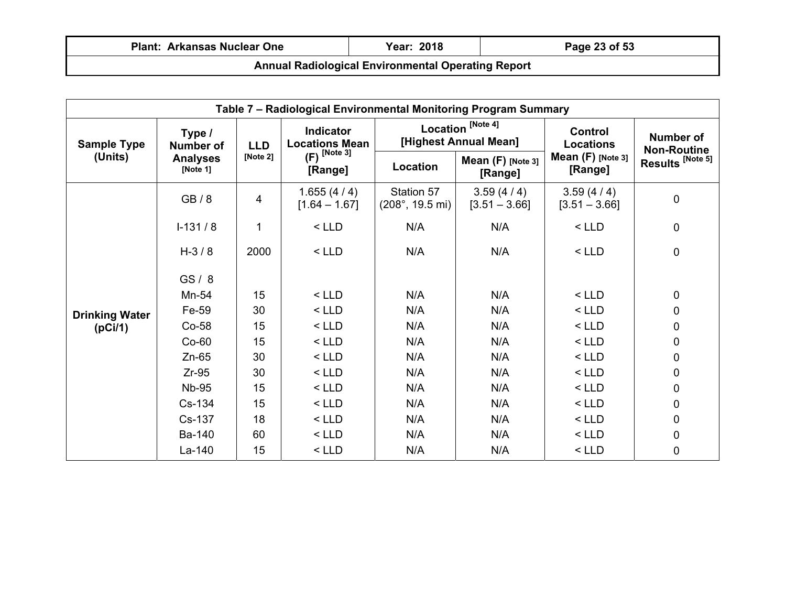| <b>Plant: Arkansas Nuclear One</b>                        | Year: 2018 | Page 23 of 53 |  |  |  |
|-----------------------------------------------------------|------------|---------------|--|--|--|
| <b>Annual Radiological Environmental Operating Report</b> |            |               |  |  |  |

| Table 7 - Radiological Environmental Monitoring Program Summary |                                                           |            |                                           |                                                |                                                       |                                    |                                        |
|-----------------------------------------------------------------|-----------------------------------------------------------|------------|-------------------------------------------|------------------------------------------------|-------------------------------------------------------|------------------------------------|----------------------------------------|
| <b>Sample Type</b>                                              | Type /<br><b>Number of</b><br><b>Analyses</b><br>[Note 1] | <b>LLD</b> | <b>Indicator</b><br><b>Locations Mean</b> |                                                | Location <sup>[Note 4]</sup><br>[Highest Annual Mean] | <b>Control</b><br><b>Locations</b> | <b>Number of</b><br><b>Non-Routine</b> |
| (Units)                                                         |                                                           | [Note 2]   | $(F)$ <sup>[Note 3]</sup><br>[Range]      | Location                                       | Mean $(F)$ [Note 3]<br>[Range]                        | Mean $(F)$ [Note 3]<br>[Range]     | Results <sup>[Note 5]</sup>            |
|                                                                 | GB/8                                                      | 4          | 1.655(4/4)<br>$[1.64 - 1.67]$             | Station 57<br>$(208^{\circ}, 19.5 \text{ mi})$ | 3.59(4/4)<br>$[3.51 - 3.66]$                          | 3.59(4/4)<br>$[3.51 - 3.66]$       | 0                                      |
|                                                                 | $I-131/8$                                                 | 1          | $<$ LLD                                   | N/A                                            | N/A                                                   | $<$ LLD                            | 0                                      |
|                                                                 | $H - 3 / 8$                                               | 2000       | $<$ LLD                                   | N/A                                            | N/A                                                   | $<$ LLD                            | $\mathbf 0$                            |
|                                                                 | GS/8                                                      |            |                                           |                                                |                                                       |                                    |                                        |
|                                                                 | Mn-54                                                     | 15         | $<$ LLD                                   | N/A                                            | N/A                                                   | $<$ LLD                            | $\mathbf 0$                            |
| <b>Drinking Water</b>                                           | Fe-59                                                     | 30         | $<$ LLD                                   | N/A                                            | N/A                                                   | $<$ LLD                            | 0                                      |
| (pCi/1)                                                         | $Co-58$                                                   | 15         | $<$ LLD                                   | N/A                                            | N/A                                                   | $<$ LLD                            | 0                                      |
|                                                                 | $Co-60$                                                   | 15         | $<$ LLD                                   | N/A                                            | N/A                                                   | $<$ LLD                            | 0                                      |
|                                                                 | $Zn-65$                                                   | 30         | $<$ LLD                                   | N/A                                            | N/A                                                   | $<$ LLD                            | 0                                      |
|                                                                 | $Zr-95$                                                   | 30         | $<$ LLD                                   | N/A                                            | N/A                                                   | $<$ LLD                            | 0                                      |
|                                                                 | <b>Nb-95</b>                                              | 15         | $<$ LLD                                   | N/A                                            | N/A                                                   | $<$ LLD                            | 0                                      |
|                                                                 | Cs-134                                                    | 15         | $<$ LLD                                   | N/A                                            | N/A                                                   | $<$ LLD                            | 0                                      |
|                                                                 | Cs-137                                                    | 18         | $<$ LLD                                   | N/A                                            | N/A                                                   | $<$ LLD                            | 0                                      |
|                                                                 | Ba-140                                                    | 60         | $<$ LLD                                   | N/A                                            | N/A                                                   | $<$ LLD                            | 0                                      |
|                                                                 | La-140                                                    | 15         | $<$ LLD                                   | N/A                                            | N/A                                                   | $<$ LLD                            | 0                                      |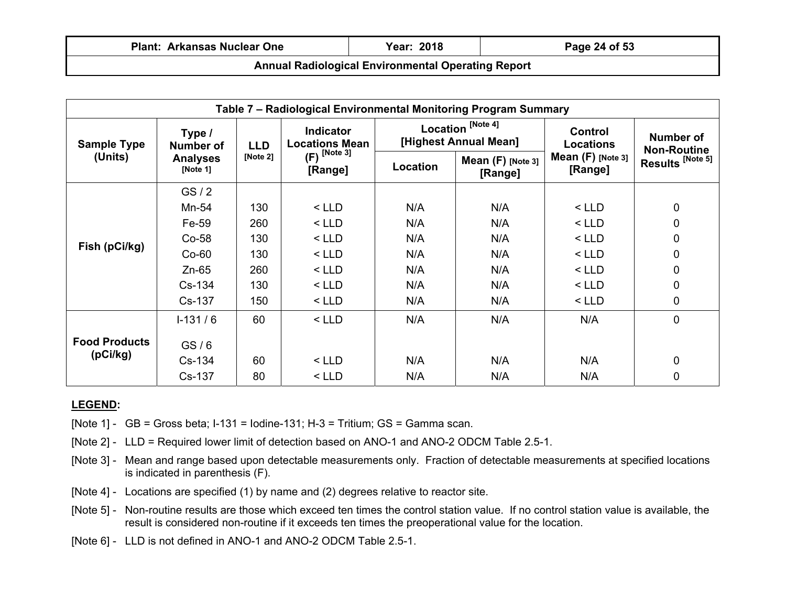| <b>Plant: Arkansas Nuclear One</b>                        | <b>Year: 2018</b> | Page 24 of 53 |  |  |  |
|-----------------------------------------------------------|-------------------|---------------|--|--|--|
| <b>Annual Radiological Environmental Operating Report</b> |                   |               |  |  |  |

| Table 7 - Radiological Environmental Monitoring Program Summary |                                |            |                                           |                                                       |                                |                                    |                                 |
|-----------------------------------------------------------------|--------------------------------|------------|-------------------------------------------|-------------------------------------------------------|--------------------------------|------------------------------------|---------------------------------|
| <b>Sample Type</b>                                              | Type /<br><b>Number of</b>     | <b>LLD</b> | <b>Indicator</b><br><b>Locations Mean</b> | Location <sup>[Note 4]</sup><br>[Highest Annual Mean] |                                | <b>Control</b><br><b>Locations</b> | Number of<br><b>Non-Routine</b> |
| (Units)                                                         | <b>Analyses</b><br>[Note $1$ ] | [Note 2]   | $(F)$ <sup>[Note 3]</sup><br>[Range]      | <b>Location</b>                                       | Mean $(F)$ [Note 3]<br>[Range] | Mean $(F)$ [Note 3]<br>[Range]     | Results <sup>[Note 5]</sup>     |
|                                                                 | GS/2                           |            |                                           |                                                       |                                |                                    |                                 |
|                                                                 | Mn-54                          | 130        | $<$ LLD                                   | N/A                                                   | N/A                            | $<$ LLD                            | $\mathbf 0$                     |
| Fish (pCi/kg)                                                   | Fe-59                          | 260        | $<$ LLD                                   | N/A                                                   | N/A                            | $<$ LLD                            | 0                               |
|                                                                 | $Co-58$                        | 130        | $<$ LLD                                   | N/A                                                   | N/A                            | $<$ LLD                            | 0                               |
|                                                                 | $Co-60$                        | 130        | $<$ LLD                                   | N/A                                                   | N/A                            | $<$ LLD                            | $\mathbf 0$                     |
|                                                                 | $Zn-65$                        | 260        | $<$ LLD                                   | N/A                                                   | N/A                            | $<$ LLD                            | 0                               |
|                                                                 | Cs-134                         | 130        | $<$ LLD                                   | N/A                                                   | N/A                            | $<$ LLD                            | $\mathbf 0$                     |
|                                                                 | Cs-137                         | 150        | $<$ LLD                                   | N/A                                                   | N/A                            | $<$ LLD                            | 0                               |
|                                                                 | $1-131/6$                      | 60         | $<$ LLD                                   | N/A                                                   | N/A                            | N/A                                | $\mathbf 0$                     |
| <b>Food Products</b>                                            | GS/6                           |            |                                           |                                                       |                                |                                    |                                 |
| (pCi/kg)                                                        | $Cs-134$                       | 60         | $<$ LLD                                   | N/A                                                   | N/A                            | N/A                                | $\pmb{0}$                       |
|                                                                 | Cs-137                         | 80         | $<$ LLD                                   | N/A                                                   | N/A                            | N/A                                | $\mathbf 0$                     |

## **LEGEND:**

- [Note 1]  $GB = Gross$  beta;  $I-131 = I$  odine-131;  $H-3 = T$ ritium;  $GS = Gamma$  scan.
- [Note 2] LLD = Required lower limit of detection based on ANO-1 and ANO-2 ODCM Table 2.5-1.
- [Note 3] Mean and range based upon detectable measurements only. Fraction of detectable measurements at specified locations is indicated in parenthesis (F).
- [Note 4] Locations are specified (1) by name and (2) degrees relative to reactor site.
- [Note 5] Non-routine results are those which exceed ten times the control station value. If no control station value is available, the result is considered non-routine if it exceeds ten times the preoperational value for the location.
- [Note 6] LLD is not defined in ANO-1 and ANO-2 ODCM Table 2.5-1.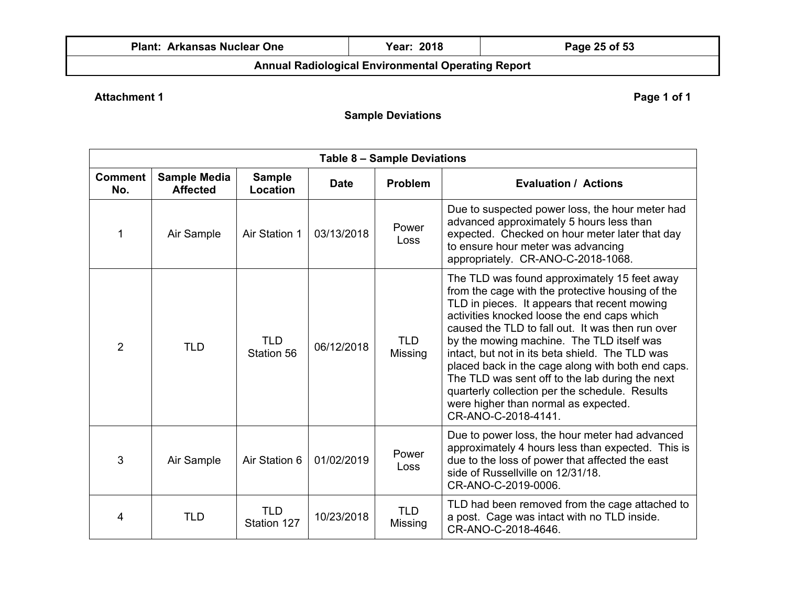|  | <b>Plant: Arkansas Nuclear One</b> |  |  |
|--|------------------------------------|--|--|
|--|------------------------------------|--|--|

# **Page 25 of 53**

# **Annual Radiological Environmental Operating Report**

# **Attachment 1** Page 1 of 1

**Sample Deviations** 

| Table 8 - Sample Deviations |                                        |                           |             |                       |                                                                                                                                                                                                                                                                                                                                                                                                                                                                                                                                                                              |  |
|-----------------------------|----------------------------------------|---------------------------|-------------|-----------------------|------------------------------------------------------------------------------------------------------------------------------------------------------------------------------------------------------------------------------------------------------------------------------------------------------------------------------------------------------------------------------------------------------------------------------------------------------------------------------------------------------------------------------------------------------------------------------|--|
| <b>Comment</b><br>No.       | <b>Sample Media</b><br><b>Affected</b> | <b>Sample</b><br>Location | <b>Date</b> | <b>Problem</b>        | <b>Evaluation / Actions</b>                                                                                                                                                                                                                                                                                                                                                                                                                                                                                                                                                  |  |
| 1                           | Air Sample                             | Air Station 1             | 03/13/2018  | Power<br>Loss         | Due to suspected power loss, the hour meter had<br>advanced approximately 5 hours less than<br>expected. Checked on hour meter later that day<br>to ensure hour meter was advancing<br>appropriately. CR-ANO-C-2018-1068.                                                                                                                                                                                                                                                                                                                                                    |  |
| $\overline{2}$              | <b>TLD</b>                             | <b>TLD</b><br>Station 56  | 06/12/2018  | <b>TLD</b><br>Missing | The TLD was found approximately 15 feet away<br>from the cage with the protective housing of the<br>TLD in pieces. It appears that recent mowing<br>activities knocked loose the end caps which<br>caused the TLD to fall out. It was then run over<br>by the mowing machine. The TLD itself was<br>intact, but not in its beta shield. The TLD was<br>placed back in the cage along with both end caps.<br>The TLD was sent off to the lab during the next<br>quarterly collection per the schedule. Results<br>were higher than normal as expected.<br>CR-ANO-C-2018-4141. |  |
| 3                           | Air Sample                             | Air Station 6             | 01/02/2019  | Power<br><b>Loss</b>  | Due to power loss, the hour meter had advanced<br>approximately 4 hours less than expected. This is<br>due to the loss of power that affected the east<br>side of Russellville on 12/31/18.<br>CR-ANO-C-2019-0006.                                                                                                                                                                                                                                                                                                                                                           |  |
| 4                           | <b>TLD</b>                             | <b>TLD</b><br>Station 127 | 10/23/2018  | TLD.<br>Missing       | TLD had been removed from the cage attached to<br>a post. Cage was intact with no TLD inside.<br>CR-ANO-C-2018-4646.                                                                                                                                                                                                                                                                                                                                                                                                                                                         |  |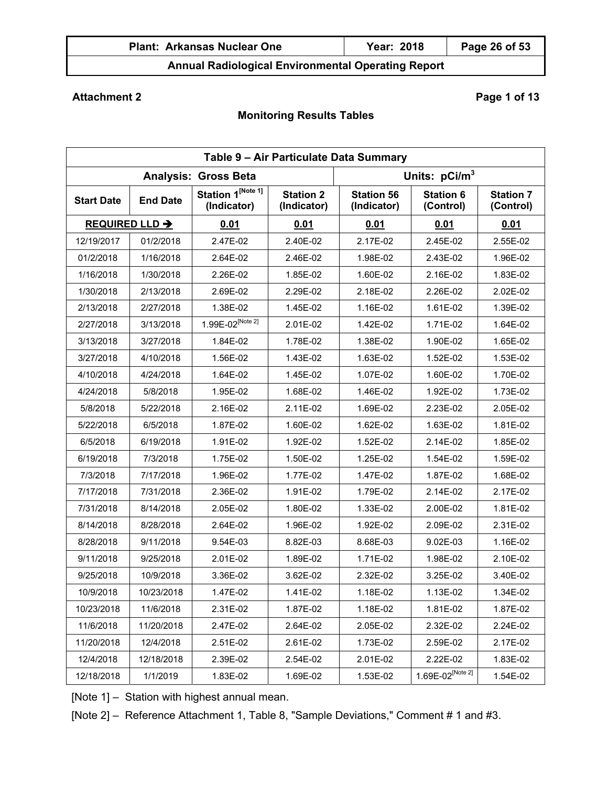| <b>Plant: Arkansas Nuclear One</b> | <b>Year: 2018</b> | Page 26 of 53 |
|------------------------------------|-------------------|---------------|
|                                    |                   |               |

# **Attachment 2** Page 1 of 13

# **Monitoring Results Tables**

|                   | Table 9 - Air Particulate Data Summary |                                  |                                 |                                  |                               |                               |  |
|-------------------|----------------------------------------|----------------------------------|---------------------------------|----------------------------------|-------------------------------|-------------------------------|--|
|                   |                                        | <b>Analysis: Gross Beta</b>      |                                 | Units: pCi/m <sup>3</sup>        |                               |                               |  |
| <b>Start Date</b> | <b>End Date</b>                        | Station 1[Note 1]<br>(Indicator) | <b>Station 2</b><br>(Indicator) | <b>Station 56</b><br>(Indicator) | <b>Station 6</b><br>(Control) | <b>Station 7</b><br>(Control) |  |
|                   | <b>REQUIRED LLD →</b>                  | 0.01                             | 0.01                            | 0.01                             | 0.01                          | 0.01                          |  |
| 12/19/2017        | 01/2/2018                              | 2.47E-02                         | 2.40E-02                        | 2.17E-02                         | 2.45E-02                      | 2.55E-02                      |  |
| 01/2/2018         | 1/16/2018                              | 2.64E-02                         | 2.46E-02                        | 1.98E-02                         | 2.43E-02                      | 1.96E-02                      |  |
| 1/16/2018         | 1/30/2018                              | 2.26E-02                         | 1.85E-02                        | 1.60E-02                         | 2.16E-02                      | 1.83E-02                      |  |
| 1/30/2018         | 2/13/2018                              | 2.69E-02                         | 2.29E-02                        | 2.18E-02                         | 2.26E-02                      | 2.02E-02                      |  |
| 2/13/2018         | 2/27/2018                              | 1.38E-02                         | 1.45E-02                        | 1.16E-02                         | 1.61E-02                      | 1.39E-02                      |  |
| 2/27/2018         | 3/13/2018                              | $1.99E - 02^{[Note 2]}$          | 2.01E-02                        | 1.42E-02                         | 1.71E-02                      | 1.64E-02                      |  |
| 3/13/2018         | 3/27/2018                              | 1.84E-02                         | 1.78E-02                        | 1.38E-02                         | 1.90E-02                      | 1.65E-02                      |  |
| 3/27/2018         | 4/10/2018                              | 1.56E-02                         | 1.43E-02                        | 1.63E-02                         | 1.52E-02                      | 1.53E-02                      |  |
| 4/10/2018         | 4/24/2018                              | 1.64E-02                         | 1.45E-02                        | 1.07E-02                         | 1.60E-02                      | 1.70E-02                      |  |
| 4/24/2018         | 5/8/2018                               | 1.95E-02                         | 1.68E-02                        | 1.46E-02                         | 1.92E-02                      | 1.73E-02                      |  |
| 5/8/2018          | 5/22/2018                              | 2.16E-02                         | 2.11E-02                        | 1.69E-02                         | 2.23E-02                      | 2.05E-02                      |  |
| 5/22/2018         | 6/5/2018                               | 1.87E-02                         | 1.60E-02                        | 1.62E-02                         | 1.63E-02                      | 1.81E-02                      |  |
| 6/5/2018          | 6/19/2018                              | 1.91E-02                         | 1.92E-02                        | 1.52E-02                         | 2.14E-02                      | 1.85E-02                      |  |
| 6/19/2018         | 7/3/2018                               | 1.75E-02                         | 1.50E-02                        | 1.25E-02                         | 1.54E-02                      | 1.59E-02                      |  |
| 7/3/2018          | 7/17/2018                              | 1.96E-02                         | 1.77E-02                        | 1.47E-02                         | 1.87E-02                      | 1.68E-02                      |  |
| 7/17/2018         | 7/31/2018                              | 2.36E-02                         | 1.91E-02                        | 1.79E-02                         | 2.14E-02                      | 2.17E-02                      |  |
| 7/31/2018         | 8/14/2018                              | 2.05E-02                         | 1.80E-02                        | 1.33E-02                         | 2.00E-02                      | 1.81E-02                      |  |
| 8/14/2018         | 8/28/2018                              | 2.64E-02                         | 1.96E-02                        | 1.92E-02                         | 2.09E-02                      | 2.31E-02                      |  |
| 8/28/2018         | 9/11/2018                              | 9.54E-03                         | 8.82E-03                        | 8.68E-03                         | 9.02E-03                      | 1.16E-02                      |  |
| 9/11/2018         | 9/25/2018                              | 2.01E-02                         | 1.89E-02                        | 1.71E-02                         | 1.98E-02                      | 2.10E-02                      |  |
| 9/25/2018         | 10/9/2018                              | 3.36E-02                         | 3.62E-02                        | 2.32E-02                         | 3.25E-02                      | 3.40E-02                      |  |
| 10/9/2018         | 10/23/2018                             | 1.47E-02                         | 1.41E-02                        | 1.18E-02                         | 1.13E-02                      | 1.34E-02                      |  |
| 10/23/2018        | 11/6/2018                              | 2.31E-02                         | 1.87E-02                        | 1.18E-02                         | 1.81E-02                      | 1.87E-02                      |  |
| 11/6/2018         | 11/20/2018                             | 2.47E-02                         | 2.64E-02                        | 2.05E-02                         | 2.32E-02                      | 2.24E-02                      |  |
| 11/20/2018        | 12/4/2018                              | 2.51E-02                         | 2.61E-02                        | 1.73E-02                         | 2.59E-02                      | 2.17E-02                      |  |
| 12/4/2018         | 12/18/2018                             | 2.39E-02                         | 2.54E-02                        | 2.01E-02                         | 2.22E-02                      | 1.83E-02                      |  |
| 12/18/2018        | 1/1/2019                               | 1.83E-02                         | 1.69E-02                        | 1.53E-02                         | 1.69E-02 <sup>[Note 2]</sup>  | 1.54E-02                      |  |

[Note 1] – Station with highest annual mean.

[Note 2] – Reference Attachment 1, Table 8, "Sample Deviations," Comment # 1 and #3.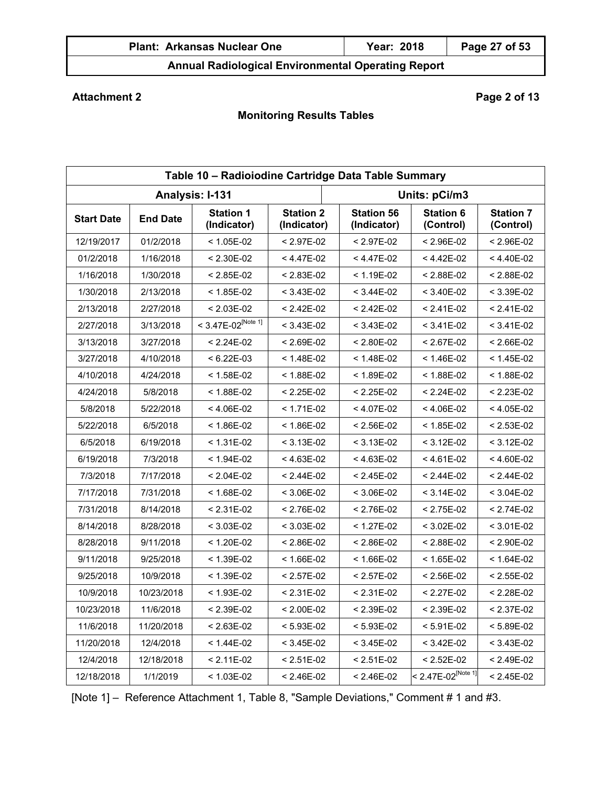| <b>Plant: Arkansas Nuclear One</b> | Year: 2018 | Page 27 of 53 |
|------------------------------------|------------|---------------|
|                                    |            |               |

# **Attachment 2** Page 2 of 13

# **Monitoring Results Tables**

| Table 10 - Radioiodine Cartridge Data Table Summary |                 |                                  |                                 |                                  |                                  |                               |  |
|-----------------------------------------------------|-----------------|----------------------------------|---------------------------------|----------------------------------|----------------------------------|-------------------------------|--|
|                                                     |                 | Analysis: I-131                  |                                 | Units: pCi/m3                    |                                  |                               |  |
| <b>Start Date</b>                                   | <b>End Date</b> | <b>Station 1</b><br>(Indicator)  | <b>Station 2</b><br>(Indicator) | <b>Station 56</b><br>(Indicator) | <b>Station 6</b><br>(Control)    | <b>Station 7</b><br>(Control) |  |
| 12/19/2017                                          | 01/2/2018       | $< 1.05E-02$                     | $< 2.97E-02$                    | $< 2.97E-02$                     | < 2.96E-02                       | $< 2.96E-02$                  |  |
| 01/2/2018                                           | 1/16/2018       | $< 2.30E-02$                     | < 4.47E-02                      | < 4.47E-02                       | < 4.42E-02                       | < 4.40E-02                    |  |
| 1/16/2018                                           | 1/30/2018       | $< 2.85E-02$                     | $< 2.83E-02$                    | < 1.19E-02                       | $< 2.88E - 02$                   | $< 2.88E - 02$                |  |
| 1/30/2018                                           | 2/13/2018       | $< 1.85E-02$                     | $< 3.43E-02$                    | $< 3.44E-02$                     | $< 3.40E-02$                     | $< 3.39E-02$                  |  |
| 2/13/2018                                           | 2/27/2018       | $< 2.03E-02$                     | $< 2.42E - 02$                  | < 2.42E-02                       | $< 2.41E-02$                     | $< 2.41E-02$                  |  |
| 2/27/2018                                           | 3/13/2018       | $< 3.47E - 02^{\text{[Note 1]}}$ | $< 3.43E-02$                    | $< 3.43E-02$                     | $< 3.41E-02$                     | $< 3.41E-02$                  |  |
| 3/13/2018                                           | 3/27/2018       | $< 2.24E-02$                     | $< 2.69E-02$                    | < 2.80E-02                       | < 2.67E-02                       | < 2.66E-02                    |  |
| 3/27/2018                                           | 4/10/2018       | $< 6.22E-03$                     | $< 1.48E-02$                    | < 1.48E-02                       | < 1.46E-02                       | $< 1.45E-02$                  |  |
| 4/10/2018                                           | 4/24/2018       | $< 1.58E-02$                     | $< 1.88E-02$                    | < 1.89E-02                       | < 1.88E-02                       | < 1.88E-02                    |  |
| 4/24/2018                                           | 5/8/2018        | $< 1.88E-02$                     | $< 2.25E-02$                    | $< 2.25E-02$                     | $< 2.24E-02$                     | $< 2.23E-02$                  |  |
| 5/8/2018                                            | 5/22/2018       | $< 4.06E-02$                     | $< 1.71E-02$                    | < 4.07E-02                       | < 4.06E-02                       | < 4.05E-02                    |  |
| 5/22/2018                                           | 6/5/2018        | $< 1.86E-02$                     | $< 1.86E-02$                    | $< 2.56E-02$                     | < 1.85E-02                       | $< 2.53E-02$                  |  |
| 6/5/2018                                            | 6/19/2018       | < 1.31E-02                       | $< 3.13E-02$                    | < 3.13E-02                       | < 3.12E-02                       | $< 3.12E-02$                  |  |
| 6/19/2018                                           | 7/3/2018        | < 1.94E-02                       | $< 4.63E-02$                    | $< 4.63E-02$                     | $< 4.61E-02$                     | < 4.60E-02                    |  |
| 7/3/2018                                            | 7/17/2018       | $< 2.04E-02$                     | $< 2.44E-02$                    | < 2.45E-02                       | < 2.44E-02                       | $< 2.44E-02$                  |  |
| 7/17/2018                                           | 7/31/2018       | $< 1.68E-02$                     | $< 3.06E-02$                    | $< 3.06E-02$                     | < 3.14E-02                       | $< 3.04E-02$                  |  |
| 7/31/2018                                           | 8/14/2018       | $< 2.31E-02$                     | $< 2.76E-02$                    | < 2.76E-02                       | < 2.75E-02                       | $< 2.74E-02$                  |  |
| 8/14/2018                                           | 8/28/2018       | $< 3.03E-02$                     | $< 3.03E-02$                    | < 1.27E-02                       | $< 3.02E - 02$                   | $< 3.01E-02$                  |  |
| 8/28/2018                                           | 9/11/2018       | $< 1.20E-02$                     | $< 2.86E-02$                    | < 2.86E-02                       | < 2.88E-02                       | $< 2.90E-02$                  |  |
| 9/11/2018                                           | 9/25/2018       | $< 1.39E-02$                     | $< 1.66E-02$                    | < 1.66E-02                       | < 1.65E-02                       | < 1.64E-02                    |  |
| 9/25/2018                                           | 10/9/2018       | $< 1.39E-02$                     | $< 2.57E-02$                    | $< 2.57E-02$                     | < 2.56E-02                       | $< 2.55E-02$                  |  |
| 10/9/2018                                           | 10/23/2018      | $< 1.93E-02$                     | $< 2.31E-02$                    | $< 2.31E-02$                     | < 2.27E-02                       | $< 2.28E-02$                  |  |
| 10/23/2018                                          | 11/6/2018       | $< 2.39E-02$                     | $< 2.00E-02$                    | $< 2.39E-02$                     | < 2.39E-02                       | < 2.37E-02                    |  |
| 11/6/2018                                           | 11/20/2018      | $< 2.63E-02$                     | $< 5.93E-02$                    | $< 5.93E-02$                     | $< 5.91E-02$                     | $< 5.89E-02$                  |  |
| 11/20/2018                                          | 12/4/2018       | $< 1.44E-02$                     | $< 3.45E-02$                    | $< 3.45E-02$                     | < 3.42E-02                       | $< 3.43E-02$                  |  |
| 12/4/2018                                           | 12/18/2018      | $< 2.11E-02$                     | $< 2.51E-02$                    | $< 2.51E-02$                     | < 2.52E-02                       | $< 2.49E-02$                  |  |
| 12/18/2018                                          | 1/1/2019        | $< 1.03E-02$                     | $< 2.46E-02$                    | < 2.46E-02                       | $< 2.47E - 02^{\text{[Note 1]}}$ | $< 2.45E-02$                  |  |

[Note 1] – Reference Attachment 1, Table 8, "Sample Deviations," Comment # 1 and #3.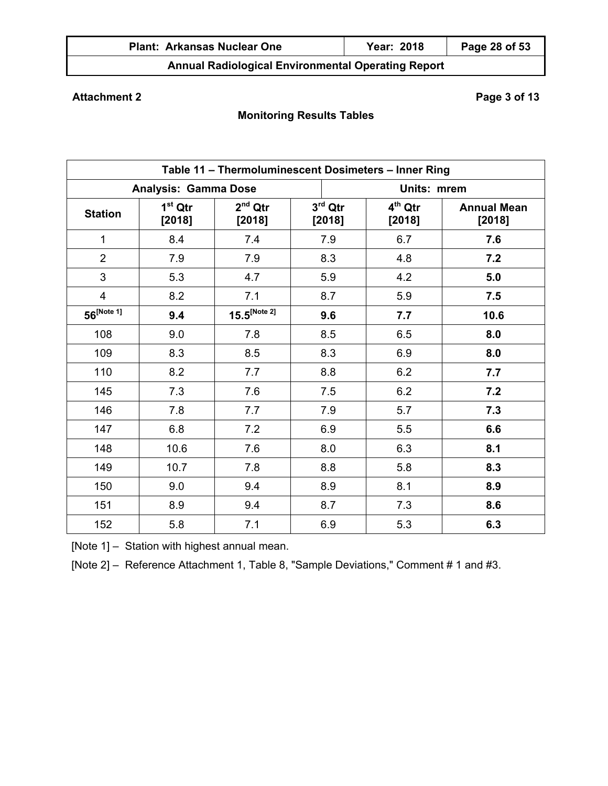| <b>Plant: Arkansas Nuclear One</b> | Year: 2018 | Page 28 of 53 |
|------------------------------------|------------|---------------|
|                                    |            |               |

# **Attachment 2** Page 3 of 13

# **Monitoring Results Tables**

| Table 11 - Thermoluminescent Dosimeters - Inner Ring |                             |                     |                     |             |                               |                              |  |  |  |  |  |
|------------------------------------------------------|-----------------------------|---------------------|---------------------|-------------|-------------------------------|------------------------------|--|--|--|--|--|
|                                                      | <b>Analysis: Gamma Dose</b> |                     |                     | Units: mrem |                               |                              |  |  |  |  |  |
| <b>Station</b>                                       | $1st$ Qtr<br>[2018]         | $2nd$ Qtr<br>[2018] | $3rd$ Qtr<br>[2018] |             | 4 <sup>th</sup> Qtr<br>[2018] | <b>Annual Mean</b><br>[2018] |  |  |  |  |  |
| 1                                                    | 8.4                         | 7.4                 | 7.9                 |             | 6.7                           | 7.6                          |  |  |  |  |  |
| $\overline{2}$                                       | 7.9                         | 7.9                 | 8.3                 |             | 4.8                           | 7.2                          |  |  |  |  |  |
| 3                                                    | 5.3                         | 4.7                 | 5.9                 |             | 4.2                           | 5.0                          |  |  |  |  |  |
| $\overline{4}$                                       | 8.2                         | 7.1                 | 8.7                 |             | 5.9                           | 7.5                          |  |  |  |  |  |
| $56^{[Note 1]}$                                      | 9.4                         | $15.5^{[Note 2]}$   | 9.6                 |             | 7.7                           | 10.6                         |  |  |  |  |  |
| 108                                                  | 9.0                         | 7.8                 | 8.5                 |             | 6.5                           | 8.0                          |  |  |  |  |  |
| 109                                                  | 8.3                         | 8.5                 | 8.3                 |             | 6.9                           | 8.0                          |  |  |  |  |  |
| 110                                                  | 8.2                         | 7.7                 | 8.8                 |             | 6.2                           | 7.7                          |  |  |  |  |  |
| 145                                                  | 7.3                         | 7.6                 | 7.5                 |             | 6.2                           | 7.2                          |  |  |  |  |  |
| 146                                                  | 7.8                         | 7.7                 | 7.9                 |             | 5.7                           | 7.3                          |  |  |  |  |  |
| 147                                                  | 6.8                         | 7.2                 | 6.9                 |             | 5.5                           | 6.6                          |  |  |  |  |  |
| 148                                                  | 10.6                        | 7.6                 | 8.0                 |             | 6.3                           | 8.1                          |  |  |  |  |  |
| 149                                                  | 10.7                        | 7.8                 | 8.8                 |             | 5.8                           | 8.3                          |  |  |  |  |  |
| 150                                                  | 9.0                         | 9.4                 | 8.9                 |             | 8.1                           | 8.9                          |  |  |  |  |  |
| 151                                                  | 8.9                         | 9.4                 | 8.7                 |             | 7.3                           | 8.6                          |  |  |  |  |  |
| 152                                                  | 5.8                         | 7.1                 | 6.9                 |             | 5.3                           | 6.3                          |  |  |  |  |  |

[Note 1] – Station with highest annual mean.

[Note 2] – Reference Attachment 1, Table 8, "Sample Deviations," Comment # 1 and #3.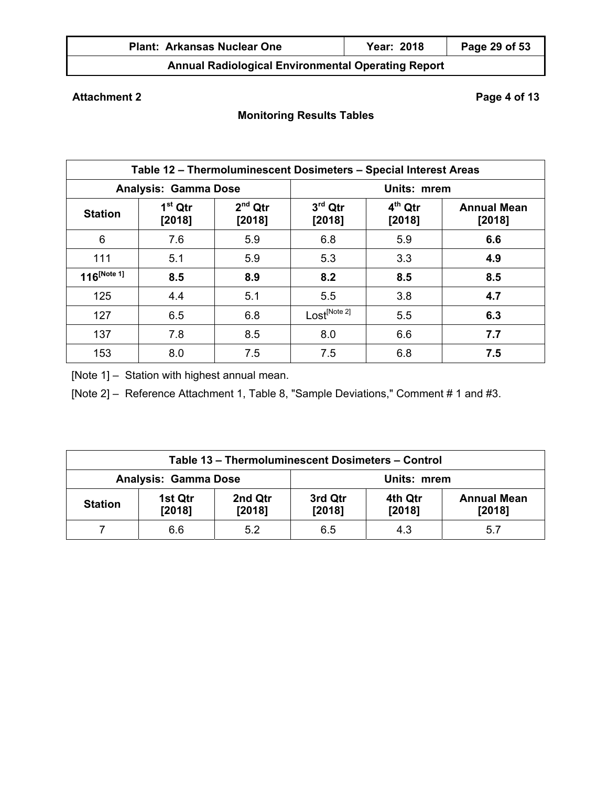| <b>Plant: Arkansas Nuclear One</b>                        | Year: 2018 | Page 29 of 53 |
|-----------------------------------------------------------|------------|---------------|
| <b>Annual Radiological Environmental Operating Report</b> |            |               |

# **Attachment 2** Page 4 of 13

# **Monitoring Results Tables**

|                  | Table 12 - Thermoluminescent Dosimeters - Special Interest Areas |                     |                          |                              |     |  |  |  |  |  |  |  |  |
|------------------|------------------------------------------------------------------|---------------------|--------------------------|------------------------------|-----|--|--|--|--|--|--|--|--|
|                  | <b>Analysis: Gamma Dose</b>                                      |                     | Units: mrem              |                              |     |  |  |  |  |  |  |  |  |
| <b>Station</b>   | $1st$ Qtr<br>[2018]                                              | $2nd$ Qtr<br>[2018] | $3rd$ Qtr<br>$[2018]$    | <b>Annual Mean</b><br>[2018] |     |  |  |  |  |  |  |  |  |
| 6                | 7.6                                                              | 5.9                 | 6.8                      | 5.9                          | 6.6 |  |  |  |  |  |  |  |  |
| 111              | 5.1                                                              | 5.9                 | 5.3                      | 3.3                          | 4.9 |  |  |  |  |  |  |  |  |
| $116^{[Note 1]}$ | 8.5                                                              | 8.9                 | 8.2                      | 8.5                          | 8.5 |  |  |  |  |  |  |  |  |
| 125              | 4.4                                                              | 5.1                 | 5.5                      | 3.8                          | 4.7 |  |  |  |  |  |  |  |  |
| 127              | 6.5                                                              | 6.8                 | Lost <sup>[Note 2]</sup> | 5.5                          | 6.3 |  |  |  |  |  |  |  |  |
| 137              | 7.8                                                              | 8.5                 | 8.0                      | 6.6                          | 7.7 |  |  |  |  |  |  |  |  |
| 153              | 8.0                                                              | 7.5                 | 7.5                      | 6.8                          | 7.5 |  |  |  |  |  |  |  |  |

[Note 1] – Station with highest annual mean.

[Note 2] – Reference Attachment 1, Table 8, "Sample Deviations," Comment # 1 and #3.

| Table 13 - Thermoluminescent Dosimeters - Control |                             |                   |                   |                   |                              |  |  |  |  |  |  |
|---------------------------------------------------|-----------------------------|-------------------|-------------------|-------------------|------------------------------|--|--|--|--|--|--|
|                                                   | <b>Analysis: Gamma Dose</b> |                   | Units: mrem       |                   |                              |  |  |  |  |  |  |
| <b>Station</b>                                    | 1st Qtr<br>[2018]           | 2nd Qtr<br>[2018] | 3rd Qtr<br>[2018] | 4th Qtr<br>[2018] | <b>Annual Mean</b><br>[2018] |  |  |  |  |  |  |
|                                                   | 6.6                         | 5.2               | 6.5               | 4.3               | 5.7                          |  |  |  |  |  |  |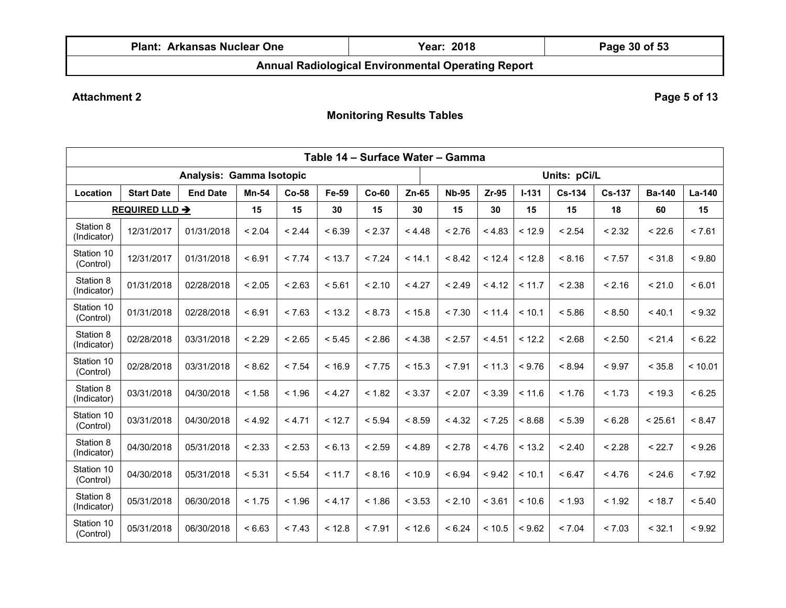| <b>Plant.</b><br>′ One<br><b>Arkansas Nuclear</b> | 2018<br>rear <sup>-</sup> | n n<br>- OT<br>zaqe.<br>-5U<br>. பெ |
|---------------------------------------------------|---------------------------|-------------------------------------|
| ---<br>--                                         | .<br>- -                  |                                     |

# **Attachment 2** Page 5 of 13

|                          | Table 14 - Surface Water - Gamma |                          |              |         |        |         |         |              |         |           |            |               |               |          |
|--------------------------|----------------------------------|--------------------------|--------------|---------|--------|---------|---------|--------------|---------|-----------|------------|---------------|---------------|----------|
|                          |                                  | Analysis: Gamma Isotopic |              |         |        |         |         | Units: pCi/L |         |           |            |               |               |          |
| Location                 | <b>Start Date</b>                | <b>End Date</b>          | <b>Mn-54</b> | $Co-58$ | Fe-59  | $Co-60$ | $Zn-65$ | <b>Nb-95</b> | $Zr-95$ | $I - 131$ | $Cs - 134$ | <b>Cs-137</b> | <b>Ba-140</b> | $La-140$ |
|                          | REQUIRED LLD $\rightarrow$       |                          | 15           | 15      | 30     | 15      | 30      | 15           | 30      | 15        | 15         | 18            | 60            | 15       |
| Station 8<br>(Indicator) | 12/31/2017                       | 01/31/2018               | < 2.04       | < 2.44  | < 6.39 | < 2.37  | < 4.48  | < 2.76       | < 4.83  | < 12.9    | < 2.54     | < 2.32        | < 22.6        | < 7.61   |
| Station 10<br>(Control)  | 12/31/2017                       | 01/31/2018               | < 6.91       | < 7.74  | < 13.7 | < 7.24  | < 14.1  | < 8.42       | < 12.4  | < 12.8    | < 8.16     | < 7.57        | < 31.8        | < 9.80   |
| Station 8<br>(Indicator) | 01/31/2018                       | 02/28/2018               | < 2.05       | < 2.63  | < 5.61 | < 2.10  | < 4.27  | < 2.49       | < 4.12  | < 11.7    | < 2.38     | < 2.16        | < 21.0        | < 6.01   |
| Station 10<br>(Control)  | 01/31/2018                       | 02/28/2018               | < 6.91       | < 7.63  | < 13.2 | < 8.73  | < 15.8  | < 7.30       | < 11.4  | < 10.1    | < 5.86     | < 8.50        | < 40.1        | < 9.32   |
| Station 8<br>(Indicator) | 02/28/2018                       | 03/31/2018               | < 2.29       | < 2.65  | < 5.45 | < 2.86  | < 4.38  | < 2.57       | < 4.51  | < 12.2    | < 2.68     | < 2.50        | < 21.4        | < 6.22   |
| Station 10<br>(Control)  | 02/28/2018                       | 03/31/2018               | < 8.62       | < 7.54  | < 16.9 | < 7.75  | < 15.3  | < 7.91       | < 11.3  | < 9.76    | < 8.94     | < 9.97        | < 35.8        | < 10.01  |
| Station 8<br>(Indicator) | 03/31/2018                       | 04/30/2018               | < 1.58       | < 1.96  | < 4.27 | < 1.82  | < 3.37  | < 2.07       | < 3.39  | < 11.6    | < 1.76     | < 1.73        | < 19.3        | < 6.25   |
| Station 10<br>(Control)  | 03/31/2018                       | 04/30/2018               | < 4.92       | < 4.71  | < 12.7 | < 5.94  | < 8.59  | < 4.32       | < 7.25  | < 8.68    | < 5.39     | < 6.28        | < 25.61       | < 8.47   |
| Station 8<br>(Indicator) | 04/30/2018                       | 05/31/2018               | < 2.33       | < 2.53  | < 6.13 | < 2.59  | < 4.89  | < 2.78       | < 4.76  | < 13.2    | < 2.40     | < 2.28        | < 22.7        | < 9.26   |
| Station 10<br>(Control)  | 04/30/2018                       | 05/31/2018               | < 5.31       | < 5.54  | < 11.7 | < 8.16  | < 10.9  | < 6.94       | < 9.42  | < 10.1    | < 6.47     | < 4.76        | < 24.6        | < 7.92   |
| Station 8<br>(Indicator) | 05/31/2018                       | 06/30/2018               | < 1.75       | < 1.96  | < 4.17 | < 1.86  | < 3.53  | < 2.10       | < 3.61  | < 10.6    | < 1.93     | < 1.92        | < 18.7        | < 5.40   |
| Station 10<br>(Control)  | 05/31/2018                       | 06/30/2018               | < 6.63       | < 7.43  | < 12.8 | < 7.91  | < 12.6  | < 6.24       | < 10.5  | < 9.62    | < 7.04     | < 7.03        | < 32.1        | < 9.92   |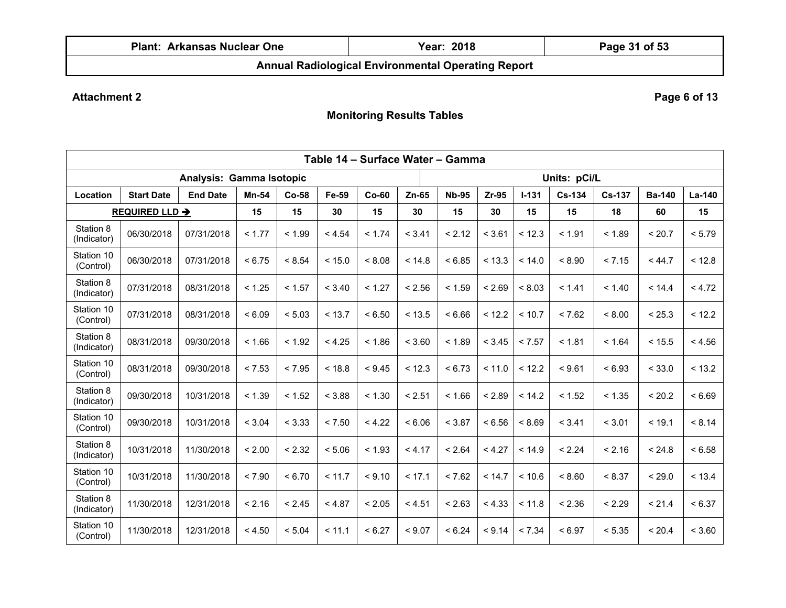| Plant:<br>Arkansas Nuclear One                                | 2018<br>Year: | Page 31 of 53 |  |  |  |  |  |  |  |
|---------------------------------------------------------------|---------------|---------------|--|--|--|--|--|--|--|
| Approval Dealists of set Equipment and all Openading a Depart |               |               |  |  |  |  |  |  |  |

# **Attachment 2** Page 6 of 13

| Table 14 - Surface Water - Gamma |                       |                          |              |        |        |         |         |              |         |           |        |               |               |          |
|----------------------------------|-----------------------|--------------------------|--------------|--------|--------|---------|---------|--------------|---------|-----------|--------|---------------|---------------|----------|
|                                  |                       | Analysis: Gamma Isotopic |              |        |        |         |         | Units: pCi/L |         |           |        |               |               |          |
| Location                         | <b>Start Date</b>     | <b>End Date</b>          | <b>Mn-54</b> | Co-58  | Fe-59  | $Co-60$ | $Zn-65$ | <b>Nb-95</b> | $Zr-95$ | $I - 131$ | Cs-134 | <b>Cs-137</b> | <b>Ba-140</b> | $La-140$ |
|                                  | <b>REQUIRED LLD →</b> |                          | 15           | 15     | 30     | 15      | 30      | 15           | 30      | 15        | 15     | 18            | 60            | 15       |
| Station 8<br>(Indicator)         | 06/30/2018            | 07/31/2018               | < 1.77       | < 1.99 | < 4.54 | < 1.74  | < 3.41  | < 2.12       | < 3.61  | < 12.3    | < 1.91 | < 1.89        | < 20.7        | < 5.79   |
| Station 10<br>(Control)          | 06/30/2018            | 07/31/2018               | < 6.75       | < 8.54 | < 15.0 | < 8.08  | < 14.8  | < 6.85       | < 13.3  | < 14.0    | < 8.90 | < 7.15        | < 44.7        | < 12.8   |
| Station 8<br>(Indicator)         | 07/31/2018            | 08/31/2018               | < 1.25       | < 1.57 | < 3.40 | < 1.27  | < 2.56  | < 1.59       | < 2.69  | < 8.03    | < 1.41 | < 1.40        | < 14.4        | < 4.72   |
| Station 10<br>(Control)          | 07/31/2018            | 08/31/2018               | < 6.09       | < 5.03 | < 13.7 | < 6.50  | < 13.5  | < 6.66       | < 12.2  | < 10.7    | < 7.62 | < 8.00        | < 25.3        | < 12.2   |
| Station 8<br>(Indicator)         | 08/31/2018            | 09/30/2018               | < 1.66       | < 1.92 | < 4.25 | < 1.86  | < 3.60  | < 1.89       | < 3.45  | < 7.57    | < 1.81 | < 1.64        | < 15.5        | < 4.56   |
| Station 10<br>(Control)          | 08/31/2018            | 09/30/2018               | < 7.53       | < 7.95 | < 18.8 | < 9.45  | < 12.3  | < 6.73       | < 11.0  | < 12.2    | < 9.61 | < 6.93        | < 33.0        | < 13.2   |
| Station 8<br>(Indicator)         | 09/30/2018            | 10/31/2018               | < 1.39       | < 1.52 | < 3.88 | < 1.30  | < 2.51  | < 1.66       | < 2.89  | < 14.2    | < 1.52 | < 1.35        | < 20.2        | < 6.69   |
| Station 10<br>(Control)          | 09/30/2018            | 10/31/2018               | < 3.04       | < 3.33 | < 7.50 | < 4.22  | < 6.06  | < 3.87       | < 6.56  | < 8.69    | < 3.41 | < 3.01        | < 19.1        | < 8.14   |
| Station 8<br>(Indicator)         | 10/31/2018            | 11/30/2018               | < 2.00       | < 2.32 | < 5.06 | < 1.93  | < 4.17  | < 2.64       | < 4.27  | < 14.9    | < 2.24 | < 2.16        | < 24.8        | < 6.58   |
| Station 10<br>(Control)          | 10/31/2018            | 11/30/2018               | < 7.90       | < 6.70 | < 11.7 | < 9.10  | < 17.1  | < 7.62       | < 14.7  | ~10.6     | < 8.60 | < 8.37        | < 29.0        | < 13.4   |
| Station 8<br>(Indicator)         | 11/30/2018            | 12/31/2018               | < 2.16       | < 2.45 | < 4.87 | < 2.05  | < 4.51  | < 2.63       | < 4.33  | < 11.8    | < 2.36 | < 2.29        | < 21.4        | < 6.37   |
| Station 10<br>(Control)          | 11/30/2018            | 12/31/2018               | < 4.50       | < 5.04 | < 11.1 | < 6.27  | < 9.07  | < 6.24       | < 9.14  | < 7.34    | < 6.97 | < 5.35        | < 20.4        | < 3.60   |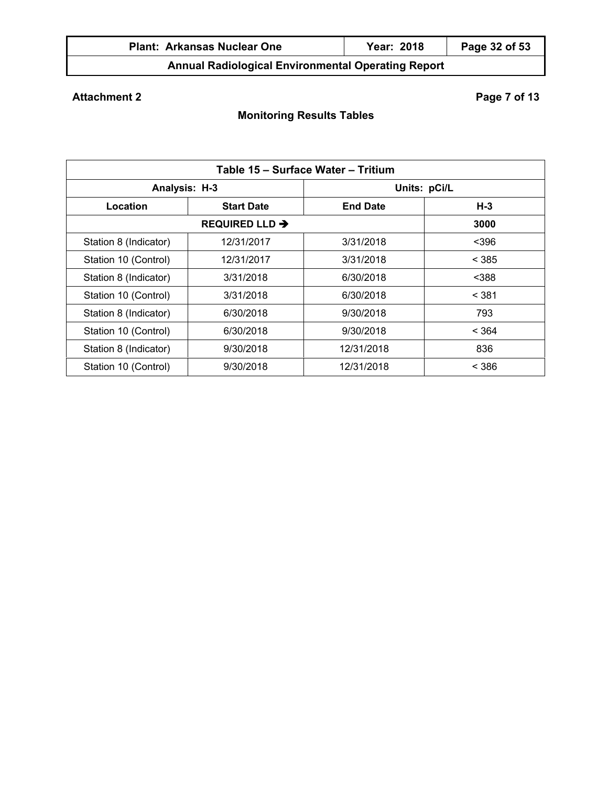| <b>Plant: Arkansas Nuclear One</b> | 2018<br>Year: | Page 32 of 53 |
|------------------------------------|---------------|---------------|
|                                    |               |               |

# **Attachment 2** Page 7 of 13

| Table 15 - Surface Water - Tritium |                   |                 |       |  |  |  |  |  |  |  |  |
|------------------------------------|-------------------|-----------------|-------|--|--|--|--|--|--|--|--|
| Analysis: H-3                      |                   | Units: pCi/L    |       |  |  |  |  |  |  |  |  |
| Location                           | <b>Start Date</b> | <b>End Date</b> | $H-3$ |  |  |  |  |  |  |  |  |
|                                    |                   | 3000            |       |  |  |  |  |  |  |  |  |
| Station 8 (Indicator)              | 12/31/2017        | 3/31/2018       | $396$ |  |  |  |  |  |  |  |  |
| Station 10 (Control)               | 12/31/2017        | 3/31/2018       | < 385 |  |  |  |  |  |  |  |  |
| Station 8 (Indicator)              | 3/31/2018         | 6/30/2018       | $388$ |  |  |  |  |  |  |  |  |
| Station 10 (Control)               | 3/31/2018         | 6/30/2018       | < 381 |  |  |  |  |  |  |  |  |
| Station 8 (Indicator)              | 6/30/2018         | 9/30/2018       | 793   |  |  |  |  |  |  |  |  |
| Station 10 (Control)               | 6/30/2018         | 9/30/2018       | < 364 |  |  |  |  |  |  |  |  |
| Station 8 (Indicator)              | 9/30/2018         | 12/31/2018      | 836   |  |  |  |  |  |  |  |  |
| Station 10 (Control)               | 9/30/2018         | 12/31/2018      | < 386 |  |  |  |  |  |  |  |  |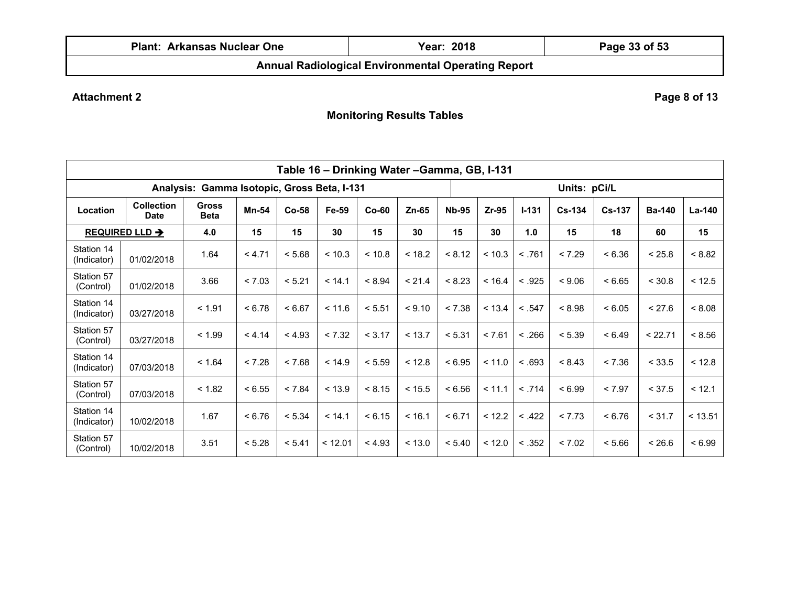| Plant:<br>Arkansas Nuclear One                                           | 2018<br>Year: | Page 33 of 53 |  |  |  |  |  |  |  |
|--------------------------------------------------------------------------|---------------|---------------|--|--|--|--|--|--|--|
| A concell Profile is also if Profile a concelled A concelled a Processi. |               |               |  |  |  |  |  |  |  |

# **Attachment 2** Page 8 of 13

| Table 16 - Drinking Water - Gamma, GB, I-131 |                                  |                             |        |         |         |         |         |              |              |           |          |               |               |         |
|----------------------------------------------|----------------------------------|-----------------------------|--------|---------|---------|---------|---------|--------------|--------------|-----------|----------|---------------|---------------|---------|
| Analysis: Gamma Isotopic, Gross Beta, I-131  |                                  |                             |        |         |         |         |         |              | Units: pCi/L |           |          |               |               |         |
| Location                                     | <b>Collection</b><br><b>Date</b> | <b>Gross</b><br><b>Beta</b> | Mn-54  | $Co-58$ | Fe-59   | $Co-60$ | $Zn-65$ | <b>Nb-95</b> | Zr-95        | $I - 131$ | $Cs-134$ | <b>Cs-137</b> | <b>Ba-140</b> | La-140  |
|                                              | <b>REQUIRED LLD →</b>            | 4.0                         | 15     | 15      | 30      | 15      | 30      | 15           | 30           | 1.0       | 15       | 18            | 60            | 15      |
| Station 14<br>(Indicator)                    | 01/02/2018                       | 1.64                        | < 4.71 | < 5.68  | < 10.3  | < 10.8  | < 18.2  | < 8.12       | < 10.3       | < .761    | < 7.29   | < 6.36        | < 25.8        | < 8.82  |
| Station 57<br>(Control)                      | 01/02/2018                       | 3.66                        | < 7.03 | < 5.21  | < 14.1  | < 8.94  | < 21.4  | < 8.23       | < 16.4       | < .925    | < 9.06   | < 6.65        | < 30.8        | < 12.5  |
| Station 14<br>(Indicator)                    | 03/27/2018                       | < 1.91                      | < 6.78 | < 6.67  | < 11.6  | < 5.51  | < 9.10  | < 7.38       | < 13.4       | < .547    | < 8.98   | < 6.05        | < 27.6        | < 8.08  |
| Station 57<br>(Control)                      | 03/27/2018                       | < 1.99                      | < 4.14 | < 4.93  | < 7.32  | < 3.17  | < 13.7  | < 5.31       | < 7.61       | < .266    | < 5.39   | < 6.49        | < 22.71       | < 8.56  |
| Station 14<br>(Indicator)                    | 07/03/2018                       | < 1.64                      | < 7.28 | < 7.68  | < 14.9  | < 5.59  | < 12.8  | < 6.95       | < 11.0       | < .693    | < 8.43   | < 7.36        | < 33.5        | < 12.8  |
| Station 57<br>(Control)                      | 07/03/2018                       | < 1.82                      | < 6.55 | < 7.84  | < 13.9  | < 8.15  | < 15.5  | < 6.56       | < 11.1       | < .714    | < 6.99   | < 7.97        | < 37.5        | < 12.1  |
| Station 14<br>(Indicator)                    | 10/02/2018                       | 1.67                        | < 6.76 | < 5.34  | < 14.1  | < 6.15  | < 16.1  | < 6.71       | < 12.2       | < .422    | < 7.73   | < 6.76        | < 31.7        | < 13.51 |
| Station 57<br>(Control)                      | 10/02/2018                       | 3.51                        | < 5.28 | < 5.41  | < 12.01 | < 4.93  | < 13.0  | < 5.40       | < 12.0       | < .352    | < 7.02   | < 5.66        | < 26.6        | < 6.99  |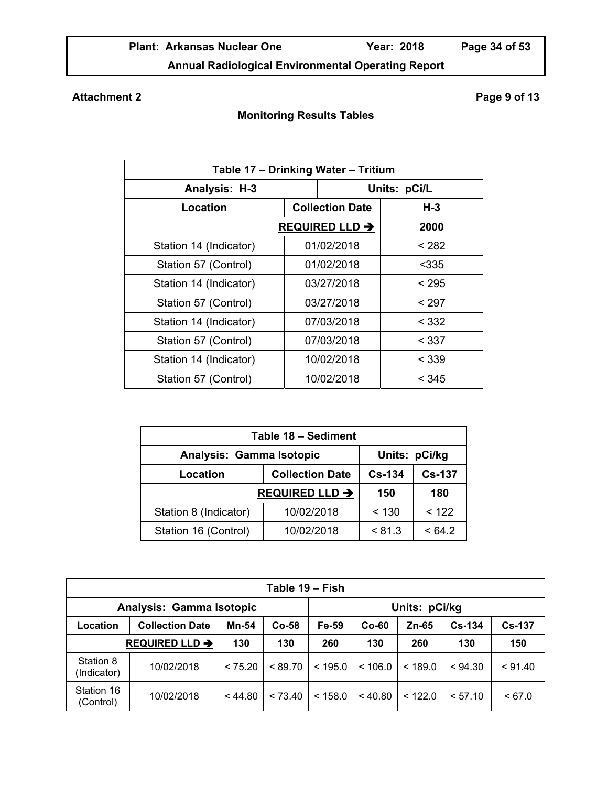| <b>Plant: Arkansas Nuclear One</b> | Year: 2018 | Page 34 of 53 |
|------------------------------------|------------|---------------|
|                                    |            |               |

# **Attachment 2** Page 9 of 13

| Table 17 - Drinking Water - Tritium |                        |            |              |       |  |  |  |  |
|-------------------------------------|------------------------|------------|--------------|-------|--|--|--|--|
| Analysis: H-3                       |                        |            | Units: pCi/L |       |  |  |  |  |
| Location                            | <b>Collection Date</b> |            |              | $H-3$ |  |  |  |  |
| REQUIRED LLD $\rightarrow$          |                        | 2000       |              |       |  |  |  |  |
| Station 14 (Indicator)              |                        | 01/02/2018 |              | < 282 |  |  |  |  |
| Station 57 (Control)                |                        | 01/02/2018 |              | $335$ |  |  |  |  |
| Station 14 (Indicator)              |                        | 03/27/2018 |              | < 295 |  |  |  |  |
| Station 57 (Control)                |                        | 03/27/2018 |              | < 297 |  |  |  |  |
| Station 14 (Indicator)              |                        | 07/03/2018 |              | < 332 |  |  |  |  |
| Station 57 (Control)                |                        | 07/03/2018 |              | < 337 |  |  |  |  |
| Station 14 (Indicator)              |                        | 10/02/2018 |              | < 339 |  |  |  |  |
| Station 57 (Control)                |                        | 10/02/2018 |              | < 345 |  |  |  |  |

| Table 18 - Sediment                       |                       |               |        |  |  |  |  |  |  |
|-------------------------------------------|-----------------------|---------------|--------|--|--|--|--|--|--|
| Units: pCi/kg<br>Analysis: Gamma Isotopic |                       |               |        |  |  |  |  |  |  |
| Location                                  | $Cs - 134$            | <b>Cs-137</b> |        |  |  |  |  |  |  |
|                                           | <b>REQUIRED LLD →</b> | 150           | 180    |  |  |  |  |  |  |
| Station 8 (Indicator)                     | 10/02/2018            | < 130         | < 122  |  |  |  |  |  |  |
| Station 16 (Control)                      | 10/02/2018            | < 81.3        | < 64.2 |  |  |  |  |  |  |

|                            | Table 19 – Fish          |         |         |                                         |         |               |         |         |  |  |  |  |  |  |
|----------------------------|--------------------------|---------|---------|-----------------------------------------|---------|---------------|---------|---------|--|--|--|--|--|--|
|                            | Analysis: Gamma Isotopic |         |         |                                         |         | Units: pCi/kg |         |         |  |  |  |  |  |  |
| Location                   | <b>Collection Date</b>   | Mn-54   | $Co-58$ | $Cs - 134$<br>Fe-59<br>$Co-60$<br>Zn-65 |         |               |         |         |  |  |  |  |  |  |
| REQUIRED LLD $\rightarrow$ |                          | 130     | 130     | 260                                     | 130     | 260           | 130     | 150     |  |  |  |  |  |  |
| Station 8<br>(Indicator)   | 10/02/2018               | < 75.20 | < 89.70 | < 195.0                                 | < 106.0 | < 189.0       | < 94.30 | < 91.40 |  |  |  |  |  |  |
| Station 16<br>(Control)    | 10/02/2018               | < 44.80 | < 73.40 | < 158.0                                 | < 40.80 | < 122.0       | < 57.10 | < 67.0  |  |  |  |  |  |  |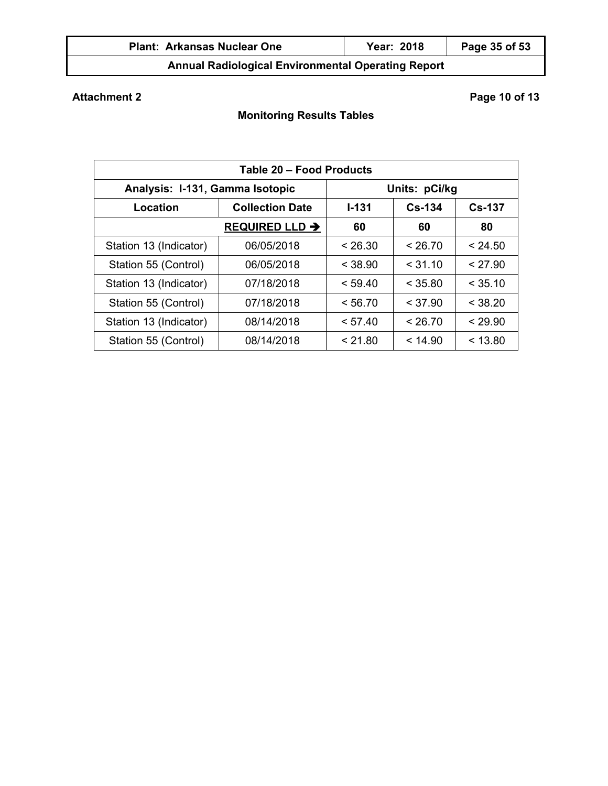| <b>Plant: Arkansas Nuclear One</b>                        | Year: 2018 | Page 35 of 53 |
|-----------------------------------------------------------|------------|---------------|
| <b>Annual Radiological Environmental Operating Report</b> |            |               |

# **Attachment 2** Page 10 of 13

| Table 20 - Food Products        |                        |               |            |               |  |  |  |  |  |  |
|---------------------------------|------------------------|---------------|------------|---------------|--|--|--|--|--|--|
| Analysis: I-131, Gamma Isotopic |                        | Units: pCi/kg |            |               |  |  |  |  |  |  |
| Location                        | <b>Collection Date</b> | $1 - 131$     | $Cs - 134$ | <b>Cs-137</b> |  |  |  |  |  |  |
|                                 | <b>REQUIRED LLD →</b>  | 60            | 60         | 80            |  |  |  |  |  |  |
| Station 13 (Indicator)          | 06/05/2018             | < 26.30       | < 26.70    | < 24.50       |  |  |  |  |  |  |
| Station 55 (Control)            | 06/05/2018             | < 38.90       | < 31.10    | < 27.90       |  |  |  |  |  |  |
| Station 13 (Indicator)          | 07/18/2018             | < 59.40       | < 35.80    | < 35.10       |  |  |  |  |  |  |
| Station 55 (Control)            | 07/18/2018             | < 56.70       | < 37.90    | < 38.20       |  |  |  |  |  |  |
| Station 13 (Indicator)          | 08/14/2018             | < 57.40       | < 26.70    | < 29.90       |  |  |  |  |  |  |
| Station 55 (Control)            | 08/14/2018             | < 21.80       | < 14.90    | < 13.80       |  |  |  |  |  |  |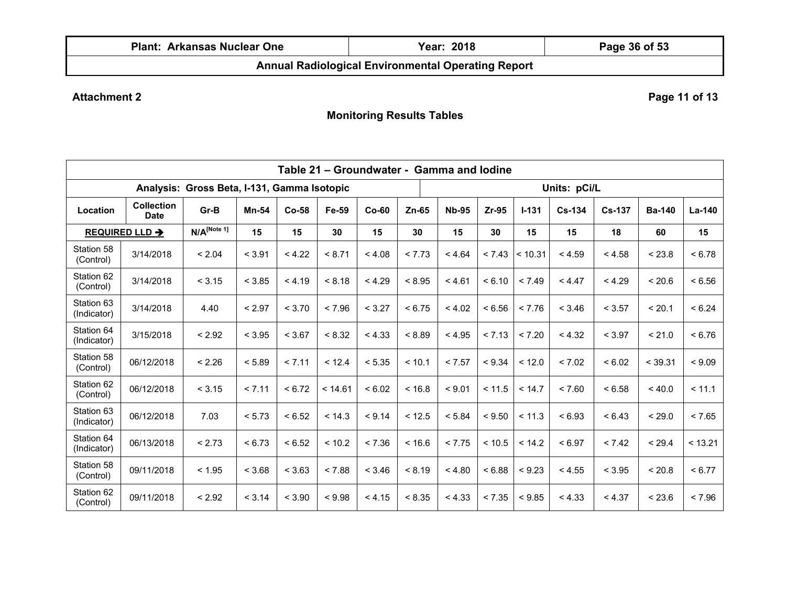| Plant:<br>Arkansas Nuclear One | 2018<br>Year: | Page 36 of 53 |  |  |  |  |
|--------------------------------|---------------|---------------|--|--|--|--|
|                                |               |               |  |  |  |  |

**Attachment 2** Page 11 of 13

|                           |                                  |                           |        |         |         | Table 21 - Groundwater - Gamma and lodine |         |              |        |           |               |               |               |          |
|---------------------------|----------------------------------|---------------------------|--------|---------|---------|-------------------------------------------|---------|--------------|--------|-----------|---------------|---------------|---------------|----------|
|                           | Units: pCi/L                     |                           |        |         |         |                                           |         |              |        |           |               |               |               |          |
| Location                  | <b>Collection</b><br><b>Date</b> | Gr-B                      | Mn-54  | $Co-58$ | Fe-59   | $Co-60$                                   | $Zn-65$ | <b>Nb-95</b> | Zr-95  | $I - 131$ | <b>Cs-134</b> | <b>Cs-137</b> | <b>Ba-140</b> | $La-140$ |
|                           | <b>REQUIRED LLD →</b>            | $N/A$ <sup>[Note 1]</sup> | 15     | 15      | 30      | 15                                        | 30      | 15           | 30     | 15        | 15            | 18            | 60            | 15       |
| Station 58<br>(Control)   | 3/14/2018                        | < 2.04                    | < 3.91 | < 4.22  | < 8.71  | < 4.08                                    | < 7.73  | < 4.64       | < 7.43 | < 10.31   | < 4.59        | < 4.58        | < 23.8        | < 6.78   |
| Station 62<br>(Control)   | 3/14/2018                        | < 3.15                    | < 3.85 | < 4.19  | < 8.18  | < 4.29                                    | < 8.95  | < 4.61       | < 6.10 | < 7.49    | < 4.47        | < 4.29        | < 20.6        | < 6.56   |
| Station 63<br>(Indicator) | 3/14/2018                        | 4.40                      | < 2.97 | < 3.70  | < 7.96  | < 3.27                                    | < 6.75  | < 4.02       | < 6.56 | < 7.76    | < 3.46        | < 3.57        | < 20.1        | < 6.24   |
| Station 64<br>(Indicator) | 3/15/2018                        | < 2.92                    | < 3.95 | < 3.67  | < 8.32  | < 4.33                                    | < 8.89  | < 4.95       | < 7.13 | < 7.20    | < 4.32        | < 3.97        | < 21.0        | < 6.76   |
| Station 58<br>(Control)   | 06/12/2018                       | < 2.26                    | < 5.89 | < 7.11  | < 12.4  | < 5.35                                    | < 10.1  | < 7.57       | < 9.34 | < 12.0    | < 7.02        | < 6.02        | < 39.31       | < 9.09   |
| Station 62<br>(Control)   | 06/12/2018                       | < 3.15                    | < 7.11 | < 6.72  | < 14.61 | < 6.02                                    | < 16.8  | < 9.01       | < 11.5 | < 14.7    | < 7.60        | < 6.58        | < 40.0        | < 11.1   |
| Station 63<br>(Indicator) | 06/12/2018                       | 7.03                      | < 5.73 | < 6.52  | < 14.3  | < 9.14                                    | < 12.5  | < 5.84       | < 9.50 | < 11.3    | < 6.93        | < 6.43        | < 29.0        | < 7.65   |
| Station 64<br>(Indicator) | 06/13/2018                       | < 2.73                    | < 6.73 | < 6.52  | < 10.2  | < 7.36                                    | < 16.6  | < 7.75       | < 10.5 | < 14.2    | < 6.97        | < 7.42        | < 29.4        | < 13.21  |
| Station 58<br>(Control)   | 09/11/2018                       | < 1.95                    | < 3.68 | < 3.63  | < 7.88  | < 3.46                                    | < 8.19  | < 4.80       | < 6.88 | < 9.23    | < 4.55        | < 3.95        | < 20.8        | < 6.77   |
| Station 62<br>(Control)   | 09/11/2018                       | < 2.92                    | < 3.14 | < 3.90  | < 9.98  | < 4.15                                    | < 8.35  | < 4.33       | < 7.35 | < 9.85    | < 4.33        | < 4.37        | < 23.6        | < 7.96   |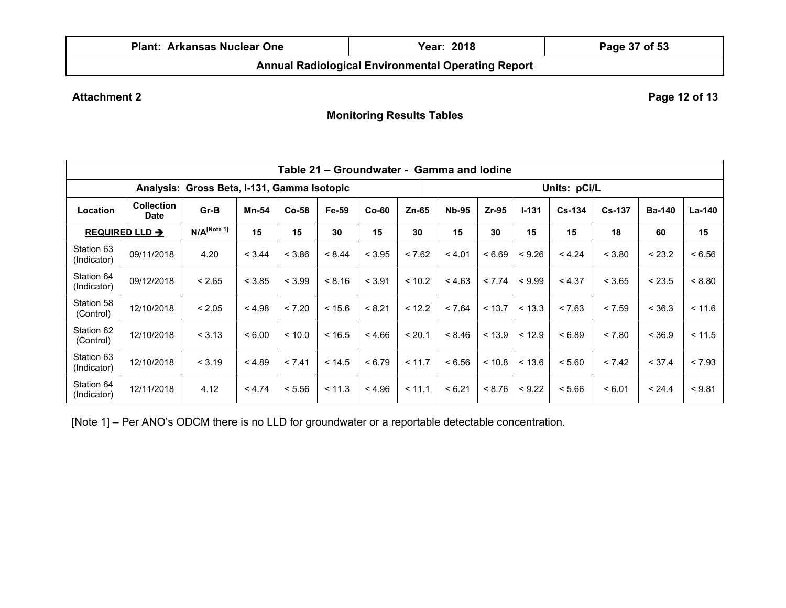| <b>Plant: Arkansas Nuclear One</b> | Year: 2018                                                | Page 37 of 53 |
|------------------------------------|-----------------------------------------------------------|---------------|
|                                    | <b>Annual Radiological Environmental Operating Report</b> |               |

Attachment 2 **Page 12 of 13** 

**Monitoring Results Tables** 

|                                             | Table 21 – Groundwater - Gamma and lodine |                           |              |         |        |         |         |                                                                   |        |        |              |        |               |               |
|---------------------------------------------|-------------------------------------------|---------------------------|--------------|---------|--------|---------|---------|-------------------------------------------------------------------|--------|--------|--------------|--------|---------------|---------------|
| Analysis: Gross Beta, I-131, Gamma Isotopic |                                           |                           |              |         |        |         |         |                                                                   |        |        | Units: pCi/L |        |               |               |
| Location                                    | <b>Collection</b><br><b>Date</b>          | Gr-B                      | <b>Mn-54</b> | $Co-58$ | Fe-59  | $Co-60$ | $Zn-65$ | <b>Nb-95</b><br>$Zr-95$<br>$I - 131$<br>$Cs-134$<br><b>Cs-137</b> |        |        |              |        | <b>Ba-140</b> | <b>La-140</b> |
|                                             | <b>REQUIRED LLD →</b>                     | $N/A$ <sup>[Note 1]</sup> | 15           | 15      | 30     | 15      | 30      | 15                                                                | 30     | 15     | 15           | 18     | 60            | 15            |
| Station 63<br>(Indicator)                   | 09/11/2018                                | 4.20                      | < 3.44       | < 3.86  | < 8.44 | < 3.95  | < 7.62  | < 4.01                                                            | < 6.69 | < 9.26 | < 4.24       | < 3.80 | < 23.2        | < 6.56        |
| Station 64<br>(Indicator)                   | 09/12/2018                                | < 2.65                    | < 3.85       | < 3.99  | < 8.16 | < 3.91  | < 10.2  | < 4.63                                                            | < 7.74 | < 9.99 | < 4.37       | < 3.65 | < 23.5        | < 8.80        |
| Station 58<br>(Control)                     | 12/10/2018                                | < 2.05                    | < 4.98       | < 7.20  | < 15.6 | < 8.21  | < 12.2  | < 7.64                                                            | < 13.7 | < 13.3 | < 7.63       | < 7.59 | < 36.3        | < 11.6        |
| Station 62<br>(Control)                     | 12/10/2018                                | < 3.13                    | < 6.00       | < 10.0  | < 16.5 | < 4.66  | < 20.1  | < 8.46                                                            | < 13.9 | < 12.9 | < 6.89       | < 7.80 | < 36.9        | < 11.5        |
| Station 63<br>(Indicator)                   | 12/10/2018                                | < 3.19                    | < 4.89       | < 7.41  | < 14.5 | < 6.79  | < 11.7  | < 6.56                                                            | < 10.8 | < 13.6 | < 5.60       | < 7.42 | < 37.4        | < 7.93        |
| Station 64<br>(Indicator)                   | 12/11/2018                                | 4.12                      | < 4.74       | < 5.56  | < 11.3 | < 4.96  | < 11.1  | < 6.21                                                            | < 8.76 | < 9.22 | < 5.66       | < 6.01 | < 24.4        | < 9.81        |

[Note 1] – Per ANO's ODCM there is no LLD for groundwater or a reportable detectable concentration.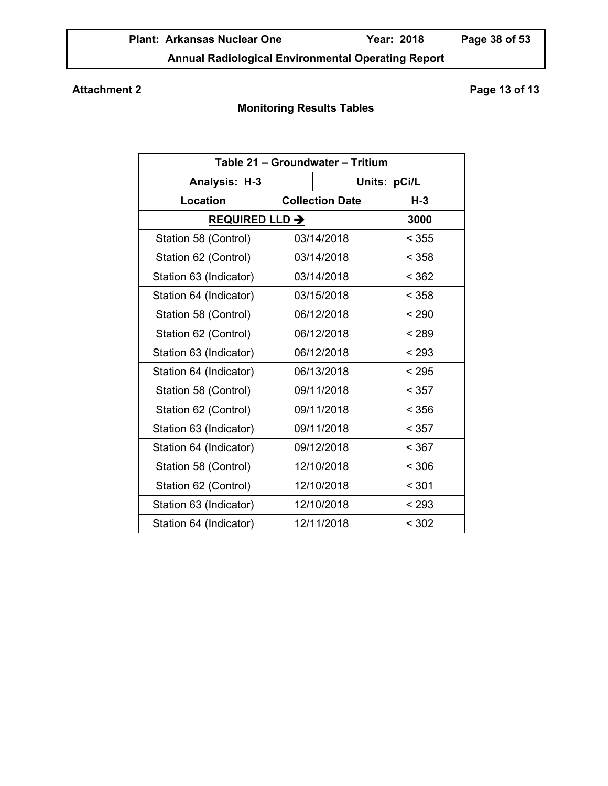# **Attachment 2** Page 13 of 13

| Table 21 - Groundwater - Tritium |  |                        |       |  |  |  |  |  |
|----------------------------------|--|------------------------|-------|--|--|--|--|--|
| Analysis: H-3                    |  | Units: pCi/L           |       |  |  |  |  |  |
| <b>Location</b>                  |  | <b>Collection Date</b> | $H-3$ |  |  |  |  |  |
| <b>REQUIRED LLD →</b>            |  |                        | 3000  |  |  |  |  |  |
| Station 58 (Control)             |  | 03/14/2018             | < 355 |  |  |  |  |  |
| Station 62 (Control)             |  | 03/14/2018             | < 358 |  |  |  |  |  |
| Station 63 (Indicator)           |  | 03/14/2018             | < 362 |  |  |  |  |  |
| Station 64 (Indicator)           |  | 03/15/2018             | < 358 |  |  |  |  |  |
| Station 58 (Control)             |  | 06/12/2018             | < 290 |  |  |  |  |  |
| Station 62 (Control)             |  | 06/12/2018             | < 289 |  |  |  |  |  |
| Station 63 (Indicator)           |  | 06/12/2018             | < 293 |  |  |  |  |  |
| Station 64 (Indicator)           |  | 06/13/2018             | < 295 |  |  |  |  |  |
| Station 58 (Control)             |  | 09/11/2018             | < 357 |  |  |  |  |  |
| Station 62 (Control)             |  | 09/11/2018             | < 356 |  |  |  |  |  |
| Station 63 (Indicator)           |  | 09/11/2018             | < 357 |  |  |  |  |  |
| Station 64 (Indicator)           |  | 09/12/2018             | < 367 |  |  |  |  |  |
| Station 58 (Control)             |  | 12/10/2018             | < 306 |  |  |  |  |  |
| Station 62 (Control)             |  | 12/10/2018             | < 301 |  |  |  |  |  |
| Station 63 (Indicator)           |  | 12/10/2018             | < 293 |  |  |  |  |  |
| Station 64 (Indicator)           |  | 12/11/2018             | < 302 |  |  |  |  |  |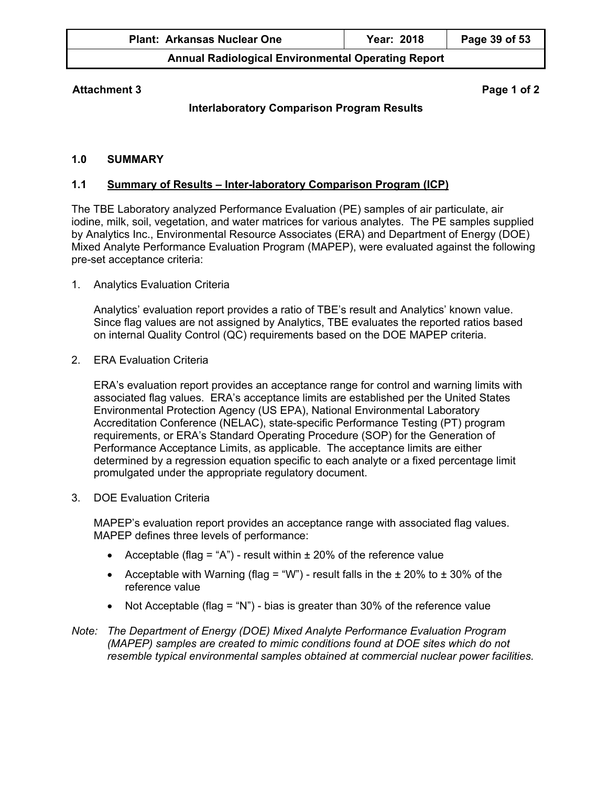| <b>Plant: Arkansas Nuclear One</b> | <b>Year: 2018</b> | Page 39 of 53 |
|------------------------------------|-------------------|---------------|
| .                                  |                   |               |

## **Attachment 3 Page 1 of 2**

# **Interlaboratory Comparison Program Results**

#### **1.0 SUMMARY**

#### **1.1 Summary of Results – Inter-laboratory Comparison Program (ICP)**

The TBE Laboratory analyzed Performance Evaluation (PE) samples of air particulate, air iodine, milk, soil, vegetation, and water matrices for various analytes. The PE samples supplied by Analytics Inc., Environmental Resource Associates (ERA) and Department of Energy (DOE) Mixed Analyte Performance Evaluation Program (MAPEP), were evaluated against the following pre-set acceptance criteria:

1. Analytics Evaluation Criteria

Analytics' evaluation report provides a ratio of TBE's result and Analytics' known value. Since flag values are not assigned by Analytics, TBE evaluates the reported ratios based on internal Quality Control (QC) requirements based on the DOE MAPEP criteria.

2. ERA Evaluation Criteria

ERA's evaluation report provides an acceptance range for control and warning limits with associated flag values. ERA's acceptance limits are established per the United States Environmental Protection Agency (US EPA), National Environmental Laboratory Accreditation Conference (NELAC), state-specific Performance Testing (PT) program requirements, or ERA's Standard Operating Procedure (SOP) for the Generation of Performance Acceptance Limits, as applicable. The acceptance limits are either determined by a regression equation specific to each analyte or a fixed percentage limit promulgated under the appropriate regulatory document.

3. DOE Evaluation Criteria

MAPEP's evaluation report provides an acceptance range with associated flag values. MAPEP defines three levels of performance:

- Acceptable (flag = "A") result within  $\pm$  20% of the reference value
- Acceptable with Warning (flag = "W") result falls in the  $\pm$  20% to  $\pm$  30% of the reference value
- Not Acceptable (flag = "N") bias is greater than 30% of the reference value

*Note: The Department of Energy (DOE) Mixed Analyte Performance Evaluation Program (MAPEP) samples are created to mimic conditions found at DOE sites which do not resemble typical environmental samples obtained at commercial nuclear power facilities.*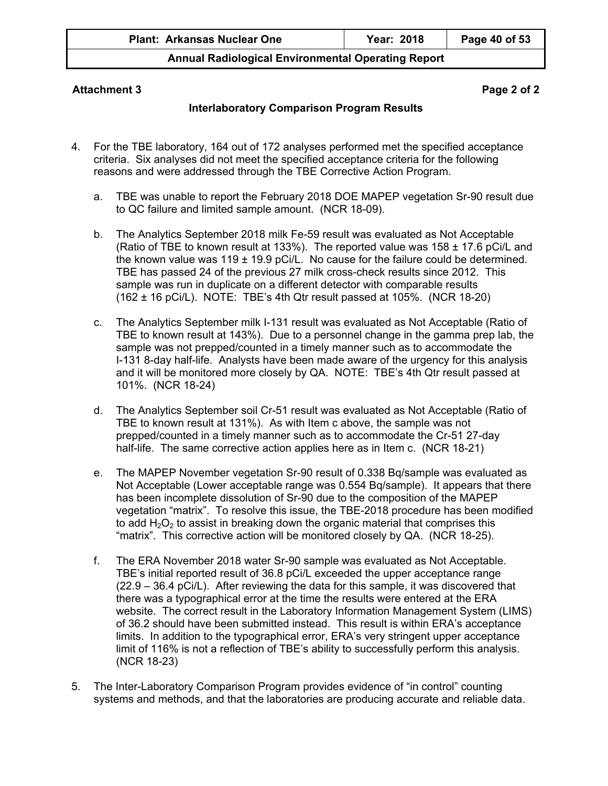| <b>Plant: Arkansas Nuclear One</b> | Year: 2018 | Page 40 of 53 |
|------------------------------------|------------|---------------|
|------------------------------------|------------|---------------|

#### **Attachment 3 Page 2 of 2**

## **Interlaboratory Comparison Program Results**

- 4. For the TBE laboratory, 164 out of 172 analyses performed met the specified acceptance criteria. Six analyses did not meet the specified acceptance criteria for the following reasons and were addressed through the TBE Corrective Action Program.
	- a. TBE was unable to report the February 2018 DOE MAPEP vegetation Sr-90 result due to QC failure and limited sample amount. (NCR 18-09).
	- b. The Analytics September 2018 milk Fe-59 result was evaluated as Not Acceptable (Ratio of TBE to known result at 133%). The reported value was 158 ± 17.6 pCi/L and the known value was  $119 \pm 19.9$  pCi/L. No cause for the failure could be determined. TBE has passed 24 of the previous 27 milk cross-check results since 2012. This sample was run in duplicate on a different detector with comparable results (162 ± 16 pCi/L). NOTE: TBE's 4th Qtr result passed at 105%. (NCR 18-20)
	- c. The Analytics September milk I-131 result was evaluated as Not Acceptable (Ratio of TBE to known result at 143%). Due to a personnel change in the gamma prep lab, the sample was not prepped/counted in a timely manner such as to accommodate the I-131 8-day half-life. Analysts have been made aware of the urgency for this analysis and it will be monitored more closely by QA. NOTE: TBE's 4th Qtr result passed at 101%. (NCR 18-24)
	- d. The Analytics September soil Cr-51 result was evaluated as Not Acceptable (Ratio of TBE to known result at 131%). As with Item c above, the sample was not prepped/counted in a timely manner such as to accommodate the Cr-51 27-day half-life. The same corrective action applies here as in Item c. (NCR 18-21)
	- e. The MAPEP November vegetation Sr-90 result of 0.338 Bq/sample was evaluated as Not Acceptable (Lower acceptable range was 0.554 Bq/sample). It appears that there has been incomplete dissolution of Sr-90 due to the composition of the MAPEP vegetation "matrix". To resolve this issue, the TBE-2018 procedure has been modified to add  $H_2O_2$  to assist in breaking down the organic material that comprises this "matrix". This corrective action will be monitored closely by QA. (NCR 18-25).
	- f. The ERA November 2018 water Sr-90 sample was evaluated as Not Acceptable. TBE's initial reported result of 36.8 pCi/L exceeded the upper acceptance range (22.9 – 36.4 pCi/L). After reviewing the data for this sample, it was discovered that there was a typographical error at the time the results were entered at the ERA website. The correct result in the Laboratory Information Management System (LIMS) of 36.2 should have been submitted instead. This result is within ERA's acceptance limits. In addition to the typographical error, ERA's very stringent upper acceptance limit of 116% is not a reflection of TBE's ability to successfully perform this analysis. (NCR 18-23)
- 5. The Inter-Laboratory Comparison Program provides evidence of "in control" counting systems and methods, and that the laboratories are producing accurate and reliable data.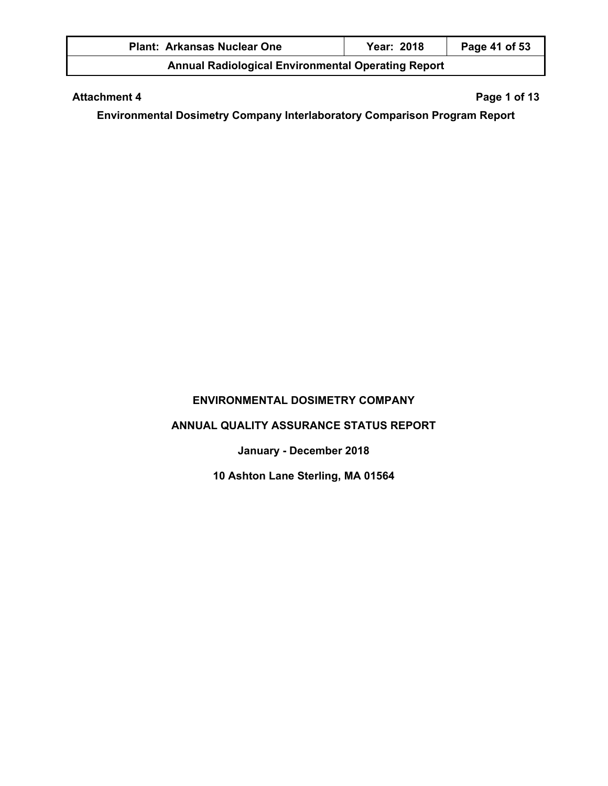| <b>Plant: Arkansas Nuclear One</b>                        | <b>Year: 2018</b> | Page 41 of 53 |
|-----------------------------------------------------------|-------------------|---------------|
| <b>Annual Radiological Environmental Operating Report</b> |                   |               |

## Attachment 4 **Page 1 of 13**

**Environmental Dosimetry Company Interlaboratory Comparison Program Report** 

# **ENVIRONMENTAL DOSIMETRY COMPANY**

# **ANNUAL QUALITY ASSURANCE STATUS REPORT**

**January - December 2018** 

**10 Ashton Lane Sterling, MA 01564**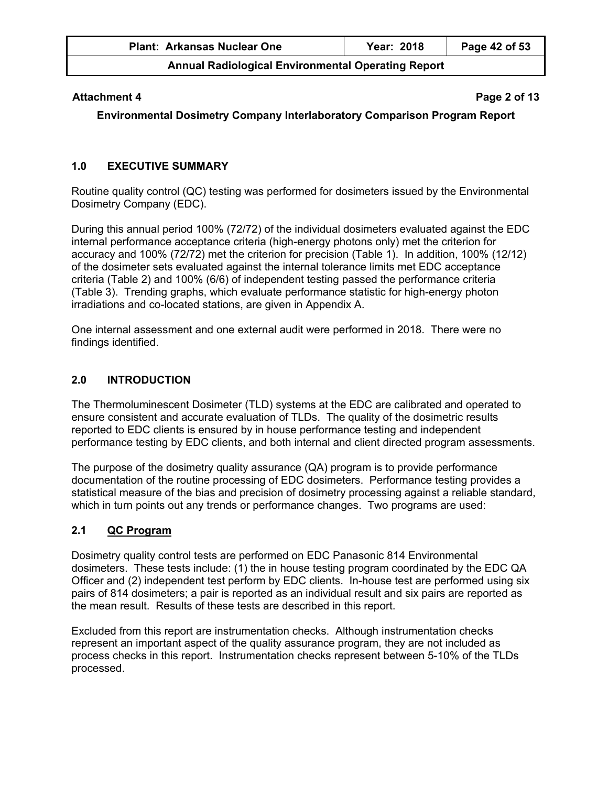| <b>Plant: Arkansas Nuclear One</b>                        | Year: 2018 | Page 42 of 53 |
|-----------------------------------------------------------|------------|---------------|
| <b>Annual Radiological Environmental Operating Report</b> |            |               |

#### **Attachment 4** Page 2 of 13

**Environmental Dosimetry Company Interlaboratory Comparison Program Report** 

## **1.0 EXECUTIVE SUMMARY**

Routine quality control (QC) testing was performed for dosimeters issued by the Environmental Dosimetry Company (EDC).

During this annual period 100% (72/72) of the individual dosimeters evaluated against the EDC internal performance acceptance criteria (high-energy photons only) met the criterion for accuracy and 100% (72/72) met the criterion for precision (Table 1). In addition, 100% (12/12) of the dosimeter sets evaluated against the internal tolerance limits met EDC acceptance criteria (Table 2) and 100% (6/6) of independent testing passed the performance criteria (Table 3). Trending graphs, which evaluate performance statistic for high-energy photon irradiations and co-located stations, are given in Appendix A.

One internal assessment and one external audit were performed in 2018. There were no findings identified.

## **2.0 INTRODUCTION**

The Thermoluminescent Dosimeter (TLD) systems at the EDC are calibrated and operated to ensure consistent and accurate evaluation of TLDs. The quality of the dosimetric results reported to EDC clients is ensured by in house performance testing and independent performance testing by EDC clients, and both internal and client directed program assessments.

The purpose of the dosimetry quality assurance (QA) program is to provide performance documentation of the routine processing of EDC dosimeters. Performance testing provides a statistical measure of the bias and precision of dosimetry processing against a reliable standard, which in turn points out any trends or performance changes. Two programs are used:

## **2.1 QC Program**

Dosimetry quality control tests are performed on EDC Panasonic 814 Environmental dosimeters. These tests include: (1) the in house testing program coordinated by the EDC QA Officer and (2) independent test perform by EDC clients. In-house test are performed using six pairs of 814 dosimeters; a pair is reported as an individual result and six pairs are reported as the mean result. Results of these tests are described in this report.

Excluded from this report are instrumentation checks. Although instrumentation checks represent an important aspect of the quality assurance program, they are not included as process checks in this report. Instrumentation checks represent between 5-10% of the TLDs processed.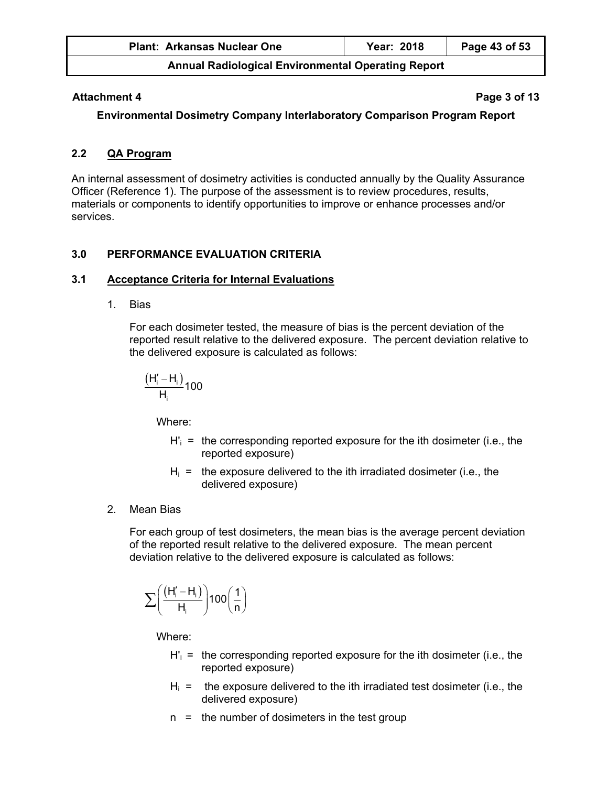| <b>Plant: Arkansas Nuclear One</b>                        | Year: 2018 | Page 43 of 53 |
|-----------------------------------------------------------|------------|---------------|
| <b>Annual Radiological Environmental Operating Report</b> |            |               |

#### Attachment 4 **Page 3 of 13**

**Environmental Dosimetry Company Interlaboratory Comparison Program Report** 

## **2.2 QA Program**

An internal assessment of dosimetry activities is conducted annually by the Quality Assurance Officer (Reference 1). The purpose of the assessment is to review procedures, results, materials or components to identify opportunities to improve or enhance processes and/or services.

## **3.0 PERFORMANCE EVALUATION CRITERIA**

## **3.1 Acceptance Criteria for Internal Evaluations**

1. Bias

For each dosimeter tested, the measure of bias is the percent deviation of the reported result relative to the delivered exposure. The percent deviation relative to the delivered exposure is calculated as follows:

$$
\frac{\left(H_i^{\prime}-H_i\right)}{H_i}100
$$

Where:

- $H'_{i}$  = the corresponding reported exposure for the ith dosimeter (i.e., the reported exposure)
- $H<sub>i</sub>$  = the exposure delivered to the ith irradiated dosimeter (i.e., the delivered exposure)
- 2. Mean Bias

For each group of test dosimeters, the mean bias is the average percent deviation of the reported result relative to the delivered exposure. The mean percent deviation relative to the delivered exposure is calculated as follows:

$$
\sum \biggl(\frac{\left(H_i'-H_i\right)}{H_i}\biggr)100\biggl(\frac{1}{n}\biggr)
$$

Where:

- $H'_1$  = the corresponding reported exposure for the ith dosimeter (i.e., the reported exposure)
- $H<sub>i</sub>$  = the exposure delivered to the ith irradiated test dosimeter (i.e., the delivered exposure)
- $n =$  the number of dosimeters in the test group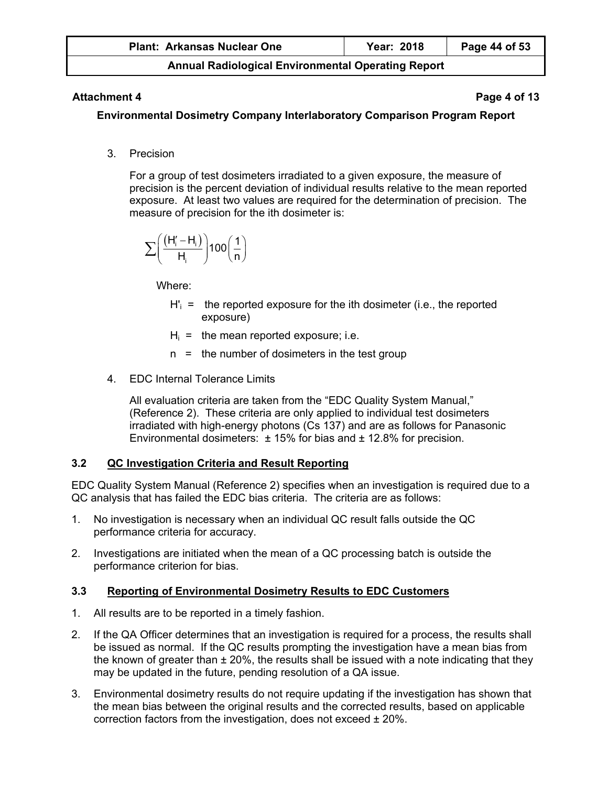| <b>Plant: Arkansas Nuclear One</b>                        | Year: 2018 | Page 44 of 53 |
|-----------------------------------------------------------|------------|---------------|
| <b>Annual Radiological Environmental Operating Report</b> |            |               |

## **Attachment 4** Page 4 of 13

## **Environmental Dosimetry Company Interlaboratory Comparison Program Report**

3. Precision

For a group of test dosimeters irradiated to a given exposure, the measure of precision is the percent deviation of individual results relative to the mean reported exposure. At least two values are required for the determination of precision. The measure of precision for the ith dosimeter is:

$$
\sum \!\left(\frac{\left(H_{i}^{\prime}-H_{i}\right)}{H_{i}}\!\right)\!100\!\left(\frac{1}{n}\right)
$$

Where:

- $H'_{i}$  = the reported exposure for the ith dosimeter (i.e., the reported exposure)
- $H<sub>i</sub>$  = the mean reported exposure; i.e.
- n = the number of dosimeters in the test group
- 4 **EDC** Internal Tolerance Limits

All evaluation criteria are taken from the "EDC Quality System Manual," (Reference 2). These criteria are only applied to individual test dosimeters irradiated with high-energy photons (Cs 137) and are as follows for Panasonic Environmental dosimeters:  $\pm$  15% for bias and  $\pm$  12.8% for precision.

# **3.2 QC Investigation Criteria and Result Reporting**

EDC Quality System Manual (Reference 2) specifies when an investigation is required due to a QC analysis that has failed the EDC bias criteria. The criteria are as follows:

- 1. No investigation is necessary when an individual QC result falls outside the QC performance criteria for accuracy.
- 2. Investigations are initiated when the mean of a QC processing batch is outside the performance criterion for bias.

# **3.3 Reporting of Environmental Dosimetry Results to EDC Customers**

- 1. All results are to be reported in a timely fashion.
- 2. If the QA Officer determines that an investigation is required for a process, the results shall be issued as normal. If the QC results prompting the investigation have a mean bias from the known of greater than  $\pm 20\%$ , the results shall be issued with a note indicating that they may be updated in the future, pending resolution of a QA issue.
- 3. Environmental dosimetry results do not require updating if the investigation has shown that the mean bias between the original results and the corrected results, based on applicable correction factors from the investigation, does not exceed  $\pm$  20%.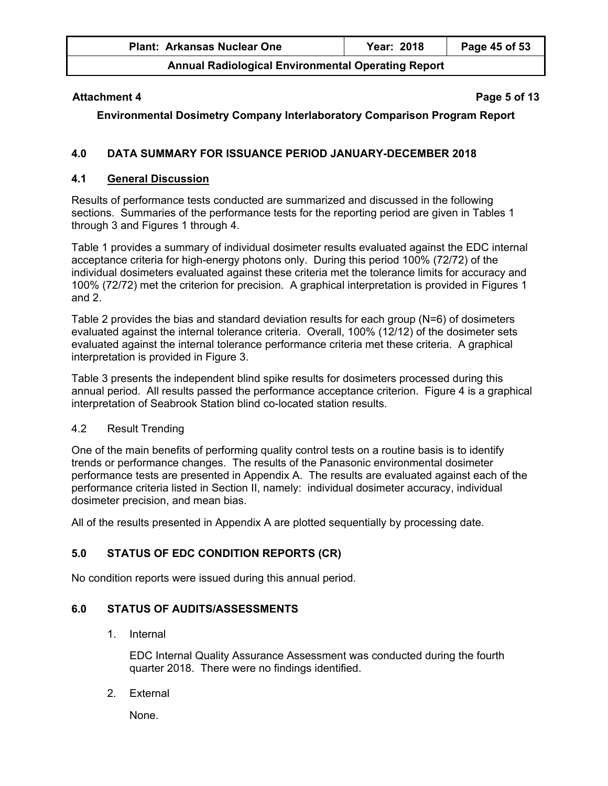| <b>Plant: Arkansas Nuclear One</b>                        | Year: 2018 | Page 45 of 53 |
|-----------------------------------------------------------|------------|---------------|
| <b>Annual Radiological Environmental Operating Report</b> |            |               |

## **Attachment 4** Page 5 of 13

**Environmental Dosimetry Company Interlaboratory Comparison Program Report** 

## **4.0 DATA SUMMARY FOR ISSUANCE PERIOD JANUARY-DECEMBER 2018**

#### **4.1 General Discussion**

Results of performance tests conducted are summarized and discussed in the following sections. Summaries of the performance tests for the reporting period are given in Tables 1 through 3 and Figures 1 through 4.

Table 1 provides a summary of individual dosimeter results evaluated against the EDC internal acceptance criteria for high-energy photons only. During this period 100% (72/72) of the individual dosimeters evaluated against these criteria met the tolerance limits for accuracy and 100% (72/72) met the criterion for precision. A graphical interpretation is provided in Figures 1 and 2.

Table 2 provides the bias and standard deviation results for each group (N=6) of dosimeters evaluated against the internal tolerance criteria. Overall, 100% (12/12) of the dosimeter sets evaluated against the internal tolerance performance criteria met these criteria. A graphical interpretation is provided in Figure 3.

Table 3 presents the independent blind spike results for dosimeters processed during this annual period. All results passed the performance acceptance criterion. Figure 4 is a graphical interpretation of Seabrook Station blind co-located station results.

## 4.2 Result Trending

One of the main benefits of performing quality control tests on a routine basis is to identify trends or performance changes. The results of the Panasonic environmental dosimeter performance tests are presented in Appendix A. The results are evaluated against each of the performance criteria listed in Section II, namely: individual dosimeter accuracy, individual dosimeter precision, and mean bias.

All of the results presented in Appendix A are plotted sequentially by processing date.

## **5.0 STATUS OF EDC CONDITION REPORTS (CR)**

No condition reports were issued during this annual period.

## **6.0 STATUS OF AUDITS/ASSESSMENTS**

1. Internal

EDC Internal Quality Assurance Assessment was conducted during the fourth quarter 2018. There were no findings identified.

2. External

None.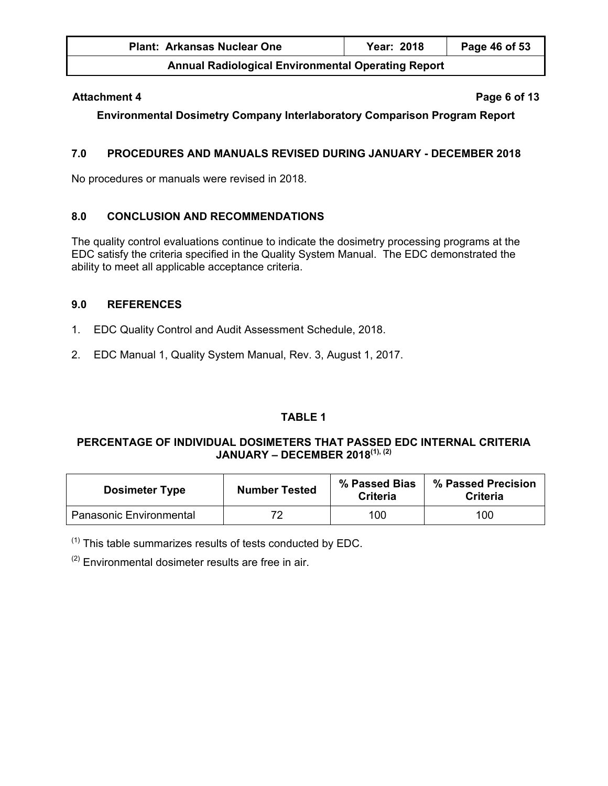| <b>Plant: Arkansas Nuclear One</b>                        | <b>Year: 2018</b> | Page 46 of 53 |
|-----------------------------------------------------------|-------------------|---------------|
| <b>Annual Radiological Environmental Operating Report</b> |                   |               |

#### **Attachment 4** Page 6 of 13

**Environmental Dosimetry Company Interlaboratory Comparison Program Report** 

## **7.0 PROCEDURES AND MANUALS REVISED DURING JANUARY - DECEMBER 2018**

No procedures or manuals were revised in 2018.

## **8.0 CONCLUSION AND RECOMMENDATIONS**

The quality control evaluations continue to indicate the dosimetry processing programs at the EDC satisfy the criteria specified in the Quality System Manual. The EDC demonstrated the ability to meet all applicable acceptance criteria.

## **9.0 REFERENCES**

- 1. EDC Quality Control and Audit Assessment Schedule, 2018.
- 2. EDC Manual 1, Quality System Manual, Rev. 3, August 1, 2017.

# **TABLE 1**

## **PERCENTAGE OF INDIVIDUAL DOSIMETERS THAT PASSED EDC INTERNAL CRITERIA JANUARY – DECEMBER 2018(1), (2)**

| <b>Dosimeter Type</b>   | <b>Number Tested</b> | % Passed Bias<br>Criteria | % Passed Precision<br>Criteria |
|-------------------------|----------------------|---------------------------|--------------------------------|
| Panasonic Environmental | 70                   | 100                       | 100                            |

 $<sup>(1)</sup>$  This table summarizes results of tests conducted by EDC.</sup>

 $(2)$  Environmental dosimeter results are free in air.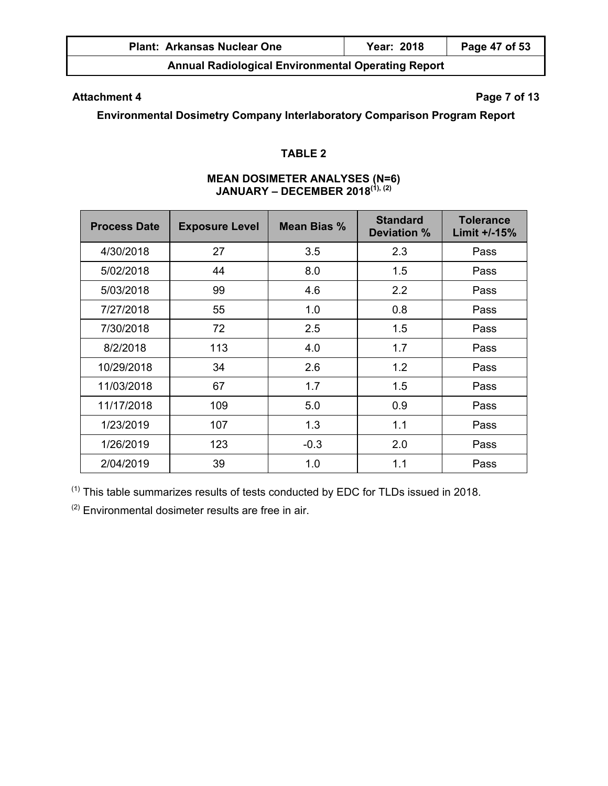| <b>Plant: Arkansas Nuclear One</b> | Year: 2018 | Page 47 of 53 |
|------------------------------------|------------|---------------|
|                                    |            |               |

# Attachment 4 **Page 7 of 13**

**Environmental Dosimetry Company Interlaboratory Comparison Program Report** 

## **TABLE 2**

# **MEAN DOSIMETER ANALYSES (N=6) JANUARY – DECEMBER 2018(1), (2)**

| <b>Process Date</b> | <b>Exposure Level</b> | <b>Mean Bias %</b> | <b>Standard</b><br>Deviation % | <b>Tolerance</b><br>Limit +/-15% |
|---------------------|-----------------------|--------------------|--------------------------------|----------------------------------|
| 4/30/2018           | 27                    | 3.5                | 2.3                            | Pass                             |
| 5/02/2018           | 44                    | 8.0                | 1.5                            | Pass                             |
| 5/03/2018           | 99                    | 4.6                | 2.2                            | Pass                             |
| 7/27/2018           | 55                    | 1.0                | 0.8                            | Pass                             |
| 7/30/2018           | 72                    | 2.5                | 1.5                            | Pass                             |
| 8/2/2018            | 113                   | 4.0                | 1.7                            | Pass                             |
| 10/29/2018          | 34                    | 2.6                | 1.2                            | Pass                             |
| 11/03/2018          | 67                    | 1.7                | 1.5                            | Pass                             |
| 11/17/2018          | 109                   | 5.0                | 0.9                            | Pass                             |
| 1/23/2019           | 107                   | 1.3                | 1.1                            | Pass                             |
| 1/26/2019           | 123                   | $-0.3$             | 2.0                            | Pass                             |
| 2/04/2019           | 39                    | 1.0                | 1.1                            | Pass                             |

(1) This table summarizes results of tests conducted by EDC for TLDs issued in 2018.

 $(2)$  Environmental dosimeter results are free in air.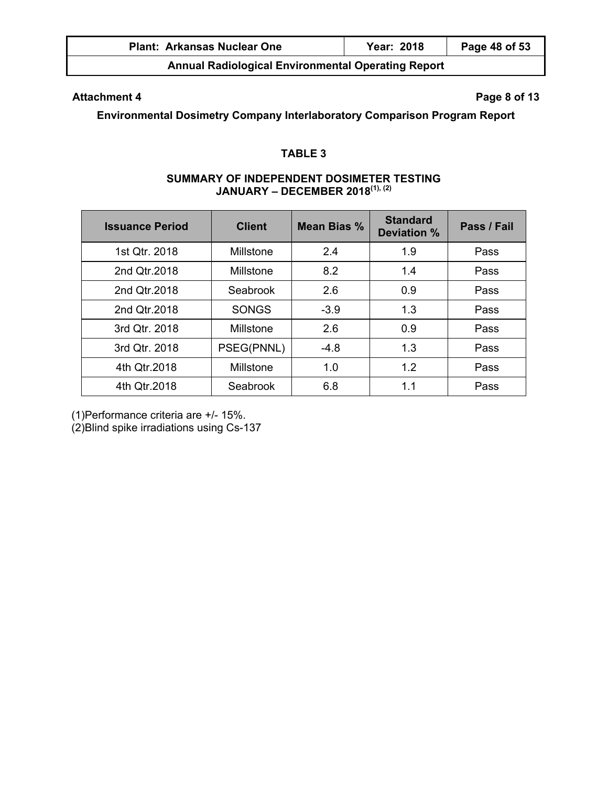| <b>Plant: Arkansas Nuclear One</b> | <b>Year: 2018</b> | Page 48 of 53 |
|------------------------------------|-------------------|---------------|
|                                    |                   |               |

# Attachment 4 **Page 8 of 13**

**Environmental Dosimetry Company Interlaboratory Comparison Program Report** 

# **TABLE 3**

#### **SUMMARY OF INDEPENDENT DOSIMETER TESTING JANUARY – DECEMBER 2018(1), (2)**

| <b>Issuance Period</b> | <b>Client</b> | Mean Bias % | <b>Standard</b><br><b>Deviation %</b> | Pass / Fail |
|------------------------|---------------|-------------|---------------------------------------|-------------|
| 1st Qtr. 2018          | Millstone     | 2.4         | 1.9                                   | Pass        |
| 2nd Qtr.2018           | Millstone     | 8.2         | 1.4                                   | Pass        |
| 2nd Qtr.2018           | Seabrook      | 2.6         | 0.9                                   | Pass        |
| 2nd Qtr.2018           | <b>SONGS</b>  | $-3.9$      | 1.3                                   | Pass        |
| 3rd Qtr. 2018          | Millstone     | 2.6         | 0.9                                   | Pass        |
| 3rd Qtr. 2018          | PSEG(PNNL)    | $-4.8$      | 1.3                                   | Pass        |
| 4th Qtr.2018           | Millstone     | 1.0         | 1.2                                   | Pass        |
| 4th Qtr.2018           | Seabrook      | 6.8         | 1.1                                   | Pass        |

(1)Performance criteria are +/- 15%.

(2)Blind spike irradiations using Cs-137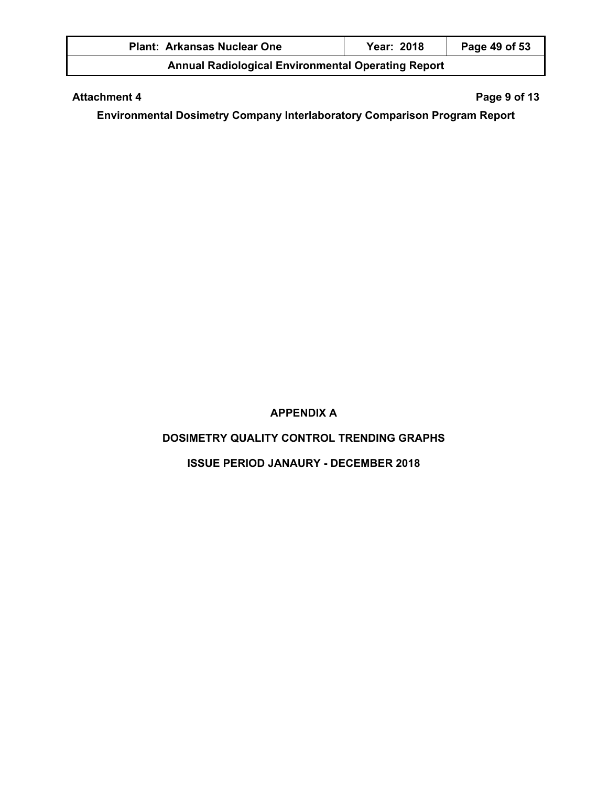| <b>Plant: Arkansas Nuclear One</b>                        | Year: 2018 | Page 49 of 53 |  |
|-----------------------------------------------------------|------------|---------------|--|
| <b>Annual Radiological Environmental Operating Report</b> |            |               |  |

# Attachment 4 **Page 9 of 13**

**Environmental Dosimetry Company Interlaboratory Comparison Program Report** 

# **APPENDIX A**

# **DOSIMETRY QUALITY CONTROL TRENDING GRAPHS**

# **ISSUE PERIOD JANAURY - DECEMBER 2018**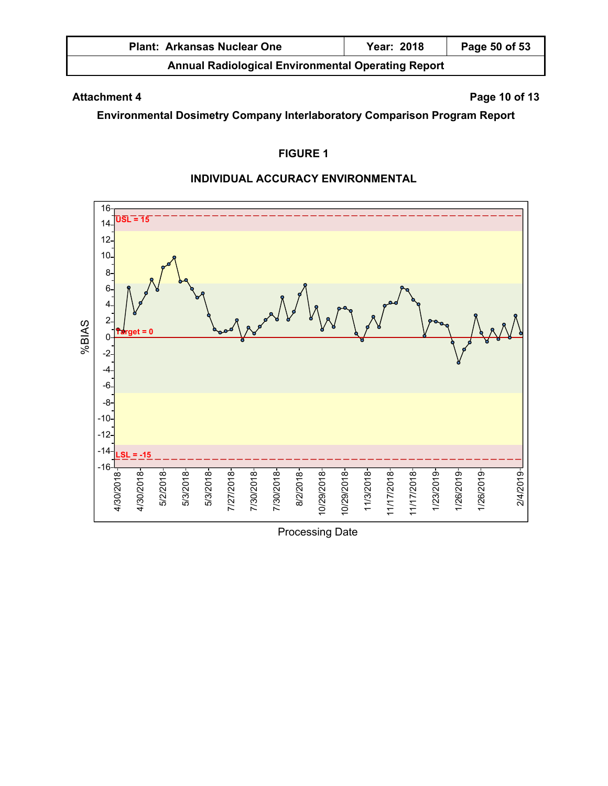| <b>Plant: Arkansas Nuclear One</b>                        | Year: 2018 | Page 50 of 53 |
|-----------------------------------------------------------|------------|---------------|
| <b>Annual Radiological Environmental Operating Report</b> |            |               |

# Attachment 4 **Page 10 of 13**

**Environmental Dosimetry Company Interlaboratory Comparison Program Report** 

# **FIGURE 1**

## **INDIVIDUAL ACCURACY ENVIRONMENTAL**



Processing Date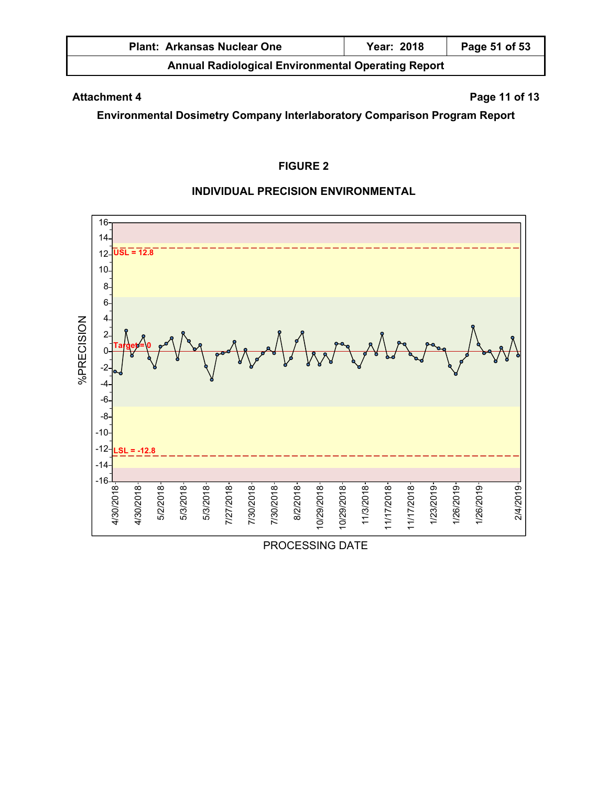| <b>Plant: Arkansas Nuclear One</b>                        | Year: 2018 | Page 51 of 53 |  |
|-----------------------------------------------------------|------------|---------------|--|
| <b>Annual Radiological Environmental Operating Report</b> |            |               |  |

# **Attachment 4** Page 11 of 13

**Environmental Dosimetry Company Interlaboratory Comparison Program Report** 

# **FIGURE 2**

## **INDIVIDUAL PRECISION ENVIRONMENTAL**



PROCESSING DATE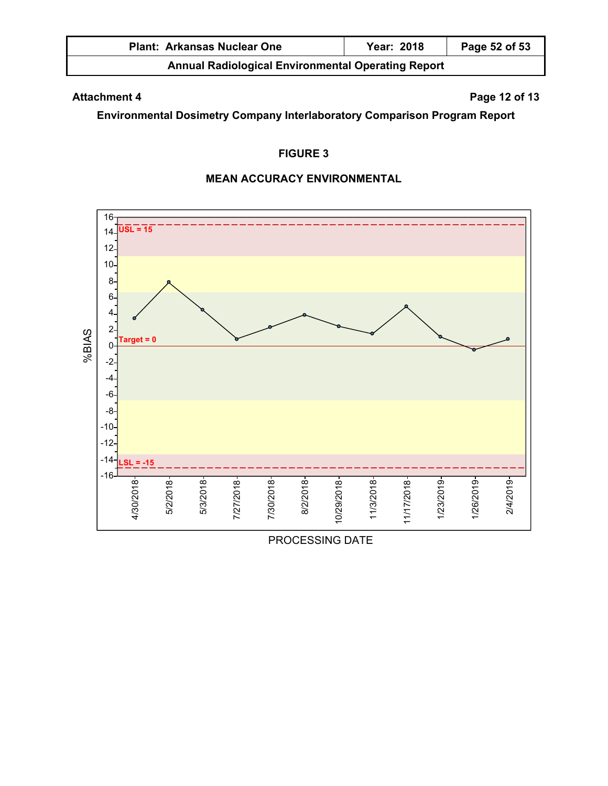| <b>Plant: Arkansas Nuclear One</b>                        | Year: 2018 | Page 52 of 53 |  |
|-----------------------------------------------------------|------------|---------------|--|
| <b>Annual Radiological Environmental Operating Report</b> |            |               |  |

# Attachment 4 **Page 12 of 13**

**Environmental Dosimetry Company Interlaboratory Comparison Program Report** 

# **FIGURE 3**

## **MEAN ACCURACY ENVIRONMENTAL**



PROCESSING DATE